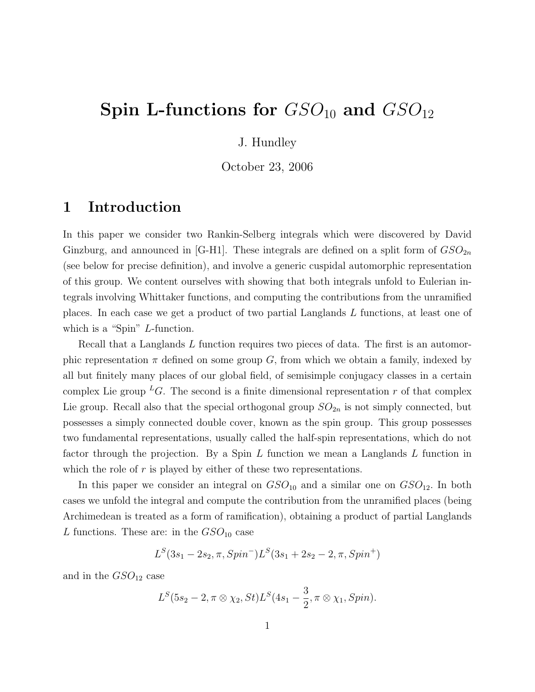# Spin L-functions for  $GSO_{10}$  and  $GSO_{12}$

### J. Hundley

October 23, 2006

### 1 Introduction

In this paper we consider two Rankin-Selberg integrals which were discovered by David Ginzburg, and announced in [G-H1]. These integrals are defined on a split form of  $GSO_{2n}$ (see below for precise definition), and involve a generic cuspidal automorphic representation of this group. We content ourselves with showing that both integrals unfold to Eulerian integrals involving Whittaker functions, and computing the contributions from the unramified places. In each case we get a product of two partial Langlands L functions, at least one of which is a "Spin" L-function.

Recall that a Langlands L function requires two pieces of data. The first is an automorphic representation  $\pi$  defined on some group G, from which we obtain a family, indexed by all but finitely many places of our global field, of semisimple conjugacy classes in a certain complex Lie group <sup>L</sup>G. The second is a finite dimensional representation r of that complex Lie group. Recall also that the special orthogonal group  $SO_{2n}$  is not simply connected, but possesses a simply connected double cover, known as the spin group. This group possesses two fundamental representations, usually called the half-spin representations, which do not factor through the projection. By a Spin L function we mean a Langlands L function in which the role of  $r$  is played by either of these two representations.

In this paper we consider an integral on  $GSO_{10}$  and a similar one on  $GSO_{12}$ . In both cases we unfold the integral and compute the contribution from the unramified places (being Archimedean is treated as a form of ramification), obtaining a product of partial Langlands L functions. These are: in the  $GSO_{10}$  case

$$
L^{S}(3s_{1}-2s_{2}, \pi, Spin^{-})L^{S}(3s_{1}+2s_{2}-2, \pi, Spin^{+})
$$

and in the  $GSO_{12}$  case

$$
L^{S}(5s_{2}-2, \pi \otimes \chi_{2}, St)L^{S}(4s_{1}-\frac{3}{2}, \pi \otimes \chi_{1}, Spin).
$$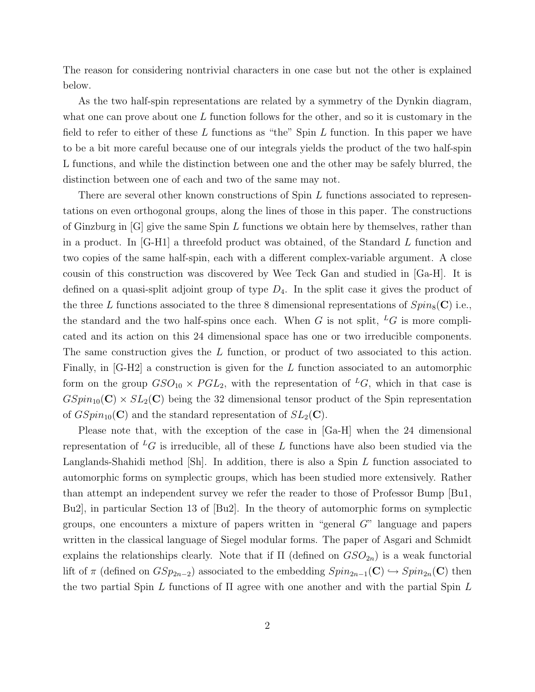The reason for considering nontrivial characters in one case but not the other is explained below.

As the two half-spin representations are related by a symmetry of the Dynkin diagram, what one can prove about one  $L$  function follows for the other, and so it is customary in the field to refer to either of these  $L$  functions as "the" Spin  $L$  function. In this paper we have to be a bit more careful because one of our integrals yields the product of the two half-spin L functions, and while the distinction between one and the other may be safely blurred, the distinction between one of each and two of the same may not.

There are several other known constructions of Spin L functions associated to representations on even orthogonal groups, along the lines of those in this paper. The constructions of Ginzburg in  $[G]$  give the same Spin L functions we obtain here by themselves, rather than in a product. In [G-H1] a threefold product was obtained, of the Standard L function and two copies of the same half-spin, each with a different complex-variable argument. A close cousin of this construction was discovered by Wee Teck Gan and studied in [Ga-H]. It is defined on a quasi-split adjoint group of type  $D_4$ . In the split case it gives the product of the three L functions associated to the three 8 dimensional representations of  $Spin_8(\mathbf{C})$  i.e., the standard and the two half-spins once each. When G is not split,  ${}^L G$  is more complicated and its action on this 24 dimensional space has one or two irreducible components. The same construction gives the L function, or product of two associated to this action. Finally, in [G-H2] a construction is given for the L function associated to an automorphic form on the group  $GSO_{10} \times PGL_2$ , with the representation of <sup>L</sup>G, which in that case is  $GSpin_{10}(\mathbf{C}) \times SL_2(\mathbf{C})$  being the 32 dimensional tensor product of the Spin representation of  $GSpin_{10}(\mathbf{C})$  and the standard representation of  $SL_2(\mathbf{C})$ .

Please note that, with the exception of the case in [Ga-H] when the 24 dimensional representation of <sup>L</sup>G is irreducible, all of these L functions have also been studied via the Langlands-Shahidi method [Sh]. In addition, there is also a Spin L function associated to automorphic forms on symplectic groups, which has been studied more extensively. Rather than attempt an independent survey we refer the reader to those of Professor Bump [Bu1, Bu2], in particular Section 13 of [Bu2]. In the theory of automorphic forms on symplectic groups, one encounters a mixture of papers written in "general G" language and papers written in the classical language of Siegel modular forms. The paper of Asgari and Schmidt explains the relationships clearly. Note that if  $\Pi$  (defined on  $GSO_{2n}$ ) is a weak functorial lift of  $\pi$  (defined on  $GSp_{2n-2}$ ) associated to the embedding  $Spin_{2n-1}(\mathbf{C}) \hookrightarrow Spin_{2n}(\mathbf{C})$  then the two partial Spin L functions of  $\Pi$  agree with one another and with the partial Spin L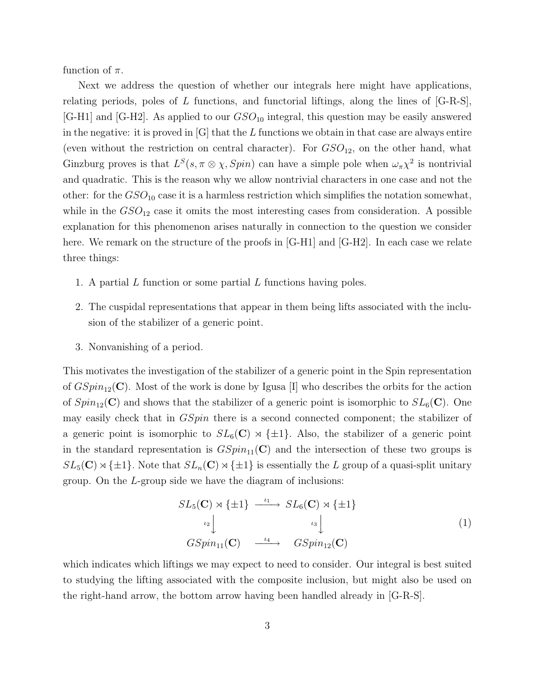function of  $\pi$ .

Next we address the question of whether our integrals here might have applications, relating periods, poles of L functions, and functorial liftings, along the lines of  $[G-R-S]$ , [G-H1] and [G-H2]. As applied to our  $GSO_{10}$  integral, this question may be easily answered in the negative: it is proved in  $|G|$  that the L functions we obtain in that case are always entire (even without the restriction on central character). For  $GSO_{12}$ , on the other hand, what Ginzburg proves is that  $L^S(s, \pi \otimes \chi, Spin)$  can have a simple pole when  $\omega_{\pi} \chi^2$  is nontrivial and quadratic. This is the reason why we allow nontrivial characters in one case and not the other: for the  $GSO_{10}$  case it is a harmless restriction which simplifies the notation somewhat, while in the  $GSO_{12}$  case it omits the most interesting cases from consideration. A possible explanation for this phenomenon arises naturally in connection to the question we consider here. We remark on the structure of the proofs in [G-H1] and [G-H2]. In each case we relate three things:

- 1. A partial  $L$  function or some partial  $L$  functions having poles.
- 2. The cuspidal representations that appear in them being lifts associated with the inclusion of the stabilizer of a generic point.
- 3. Nonvanishing of a period.

This motivates the investigation of the stabilizer of a generic point in the Spin representation of  $GSpin_{12}(\mathbf{C})$ . Most of the work is done by Igusa [I] who describes the orbits for the action of  $Spin_{12}(\mathbf{C})$  and shows that the stabilizer of a generic point is isomorphic to  $SL_6(\mathbf{C})$ . One may easily check that in *GSpin* there is a second connected component; the stabilizer of a generic point is isomorphic to  $SL_6(\mathbb{C}) \rtimes {\{\pm 1\}}$ . Also, the stabilizer of a generic point in the standard representation is  $GSpin_{11}(\mathbf{C})$  and the intersection of these two groups is  $SL_5(\mathbb{C}) \rtimes {\pm 1}$ . Note that  $SL_n(\mathbb{C}) \rtimes {\pm 1}$  is essentially the L group of a quasi-split unitary group. On the L-group side we have the diagram of inclusions:

$$
SL_5(\mathbf{C}) \rtimes \{\pm 1\} \xrightarrow{\iota_1} SL_6(\mathbf{C}) \rtimes \{\pm 1\}
$$
  
\n
$$
\iota_2 \downarrow \qquad \qquad \iota_3 \downarrow
$$
  
\n
$$
GSpin_{11}(\mathbf{C}) \xrightarrow{\iota_4} \qquad GSpin_{12}(\mathbf{C})
$$
\n(1)

which indicates which liftings we may expect to need to consider. Our integral is best suited to studying the lifting associated with the composite inclusion, but might also be used on the right-hand arrow, the bottom arrow having been handled already in [G-R-S].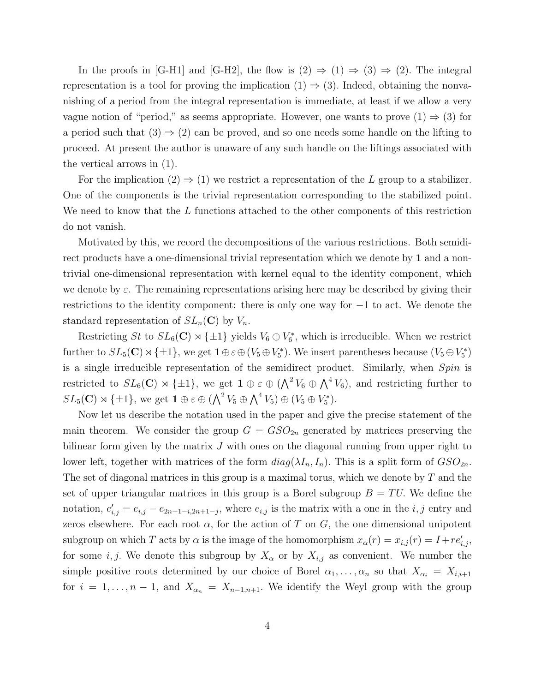In the proofs in [G-H1] and [G-H2], the flow is  $(2) \Rightarrow (1) \Rightarrow (3) \Rightarrow (2)$ . The integral representation is a tool for proving the implication  $(1) \Rightarrow (3)$ . Indeed, obtaining the nonvanishing of a period from the integral representation is immediate, at least if we allow a very vague notion of "period," as seems appropriate. However, one wants to prove  $(1) \Rightarrow (3)$  for a period such that  $(3) \Rightarrow (2)$  can be proved, and so one needs some handle on the lifting to proceed. At present the author is unaware of any such handle on the liftings associated with the vertical arrows in (1).

For the implication  $(2) \Rightarrow (1)$  we restrict a representation of the L group to a stabilizer. One of the components is the trivial representation corresponding to the stabilized point. We need to know that the  $L$  functions attached to the other components of this restriction do not vanish.

Motivated by this, we record the decompositions of the various restrictions. Both semidirect products have a one-dimensional trivial representation which we denote by 1 and a nontrivial one-dimensional representation with kernel equal to the identity component, which we denote by  $\varepsilon$ . The remaining representations arising here may be described by giving their restrictions to the identity component: there is only one way for −1 to act. We denote the standard representation of  $SL_n(\mathbb{C})$  by  $V_n$ .

Restricting St to  $SL_6(\mathbb{C}) \rtimes {\pm 1}$  yields  $V_6 \oplus V_6^*$ , which is irreducible. When we restrict further to  $SL_5(\mathbb{C}) \rtimes {\pm 1}$ , we get  $\mathbf{1} \oplus \varepsilon \oplus (V_5 \oplus V_5^*)$ . We insert parentheses because  $(V_5 \oplus V_5^*)$ is a single irreducible representation of the semidirect product. Similarly, when Spin is restricted to  $SL_6(\mathbb{C}) \rtimes {\{\pm1\}}$ , we get  $\mathbf{1} \oplus \varepsilon \oplus (\bigwedge^2 V_6 \oplus \bigwedge^4 V_6)$ , and restricting further to  $SL_5(\mathbf{C}) \rtimes {\{\pm 1\}}$ , we get  $\mathbf{1} \oplus \varepsilon \oplus (\bigwedge^2 V_5 \oplus \bigwedge^4 V_5) \oplus (V_5 \oplus V_5^*).$ 

Now let us describe the notation used in the paper and give the precise statement of the main theorem. We consider the group  $G = GSO_{2n}$  generated by matrices preserving the bilinear form given by the matrix  $J$  with ones on the diagonal running from upper right to lower left, together with matrices of the form  $diag(\lambda I_n, I_n)$ . This is a split form of  $GSO_{2n}$ . The set of diagonal matrices in this group is a maximal torus, which we denote by  $T$  and the set of upper triangular matrices in this group is a Borel subgroup  $B = TU$ . We define the notation,  $e'_{i,j} = e_{i,j} - e_{2n+1-i,2n+1-j}$ , where  $e_{i,j}$  is the matrix with a one in the  $i, j$  entry and zeros elsewhere. For each root  $\alpha$ , for the action of T on G, the one dimensional unipotent subgroup on which T acts by  $\alpha$  is the image of the homomorphism  $x_{\alpha}(r) = x_{i,j}(r) = I + re'_{i,j}$ , for some i, j. We denote this subgroup by  $X_{\alpha}$  or by  $X_{i,j}$  as convenient. We number the simple positive roots determined by our choice of Borel  $\alpha_1, \ldots, \alpha_n$  so that  $X_{\alpha_i} = X_{i,i+1}$ for  $i = 1, \ldots, n-1$ , and  $X_{\alpha_n} = X_{n-1,n+1}$ . We identify the Weyl group with the group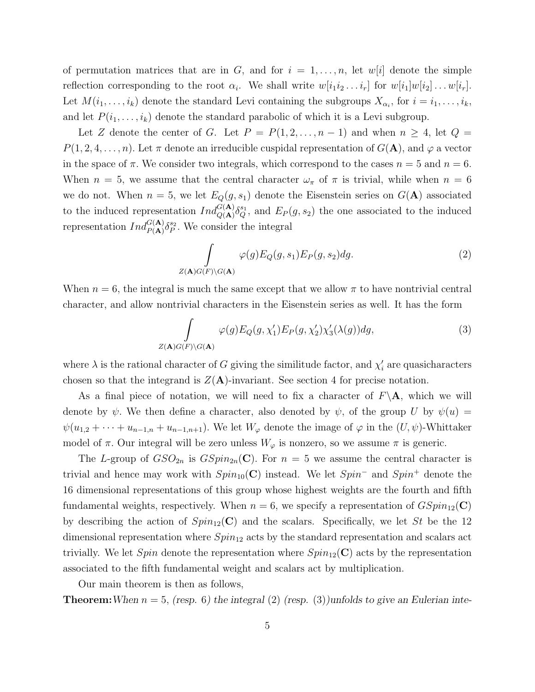of permutation matrices that are in G, and for  $i = 1, \ldots, n$ , let w|i| denote the simple reflection corresponding to the root  $\alpha_i$ . We shall write  $w[i_1 i_2 \dots i_r]$  for  $w[i_1]w[i_2] \dots w[i_r]$ . Let  $M(i_1,\ldots,i_k)$  denote the standard Levi containing the subgroups  $X_{\alpha_i}$ , for  $i = i_1,\ldots,i_k$ , and let  $P(i_1, \ldots, i_k)$  denote the standard parabolic of which it is a Levi subgroup.

Let Z denote the center of G. Let  $P = P(1, 2, ..., n-1)$  and when  $n \geq 4$ , let  $Q =$  $P(1, 2, 4, \ldots, n)$ . Let  $\pi$  denote an irreducible cuspidal representation of  $G(\mathbf{A})$ , and  $\varphi$  a vector in the space of  $\pi$ . We consider two integrals, which correspond to the cases  $n = 5$  and  $n = 6$ . When  $n = 5$ , we assume that the central character  $\omega_{\pi}$  of  $\pi$  is trivial, while when  $n = 6$ we do not. When  $n = 5$ , we let  $E_Q(g, s_1)$  denote the Eisenstein series on  $G(\mathbf{A})$  associated to the induced representation  $Ind_{Q(\mathbf{A})}^{G(\mathbf{A})} \delta_Q^{s_1}$ , and  $E_P(g, s_2)$  the one associated to the induced representation  $Ind_{P(A)}^{G(A)} \delta_P^{s_2}$ . We consider the integral

$$
\int_{Z(\mathbf{A})G(F)\backslash G(\mathbf{A})} \varphi(g) E_Q(g, s_1) E_P(g, s_2) dg.
$$
\n(2)

When  $n = 6$ , the integral is much the same except that we allow  $\pi$  to have nontrivial central character, and allow nontrivial characters in the Eisenstein series as well. It has the form

$$
\int_{Z(\mathbf{A})G(F)\backslash G(\mathbf{A})} \varphi(g) E_Q(g, \chi_1') E_P(g, \chi_2') \chi_3'(\lambda(g)) dg,
$$
\n(3)

where  $\lambda$  is the rational character of G giving the similitude factor, and  $\chi'_{i}$  are quasicharacters chosen so that the integrand is  $Z(\mathbf{A})$ -invariant. See section 4 for precise notation.

As a final piece of notation, we will need to fix a character of  $F\setminus A$ , which we will denote by  $\psi$ . We then define a character, also denoted by  $\psi$ , of the group U by  $\psi(u)$  =  $\psi(u_{1,2} + \cdots + u_{n-1,n} + u_{n-1,n+1})$ . We let  $W_{\varphi}$  denote the image of  $\varphi$  in the  $(U, \psi)$ -Whittaker model of  $\pi$ . Our integral will be zero unless  $W_{\varphi}$  is nonzero, so we assume  $\pi$  is generic.

The L-group of  $GSO_{2n}$  is  $GSpin_{2n}(\mathbb{C})$ . For  $n=5$  we assume the central character is trivial and hence may work with  $Spin_{10}(\mathbf{C})$  instead. We let  $Spin^{-}$  and  $Spin^{+}$  denote the 16 dimensional representations of this group whose highest weights are the fourth and fifth fundamental weights, respectively. When  $n = 6$ , we specify a representation of  $GSpin_{12}(\mathbf{C})$ by describing the action of  $Spin_{12}(\mathbf{C})$  and the scalars. Specifically, we let St be the 12 dimensional representation where  $Spin_{12}$  acts by the standard representation and scalars act trivially. We let Spin denote the representation where  $Spin_{12}(\mathbf{C})$  acts by the representation associated to the fifth fundamental weight and scalars act by multiplication.

Our main theorem is then as follows,

**Theorem:** When  $n = 5$ , (resp. 6) the integral (2) (resp. (3))unfolds to give an Eulerian inte-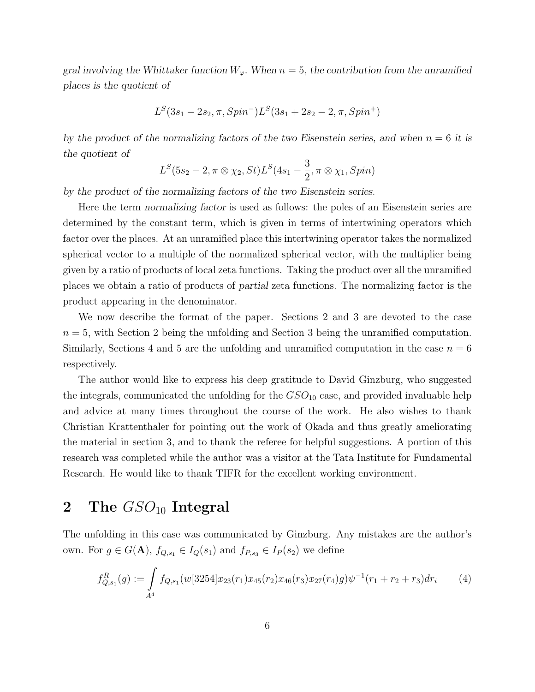gral involving the Whittaker function  $W_{\varphi}$ . When  $n = 5$ , the contribution from the unramified places is the quotient of

$$
L^{S}(3s_{1}-2s_{2}, \pi, Spin^{-})L^{S}(3s_{1}+2s_{2}-2, \pi, Spin^{+})
$$

by the product of the normalizing factors of the two Eisenstein series, and when  $n = 6$  it is the quotient of

$$
L^{S}(5s_{2}-2, \pi\otimes\chi_{2}, St)L^{S}(4s_{1}-\frac{3}{2}, \pi\otimes\chi_{1}, Spin)
$$

by the product of the normalizing factors of the two Eisenstein series.

Here the term normalizing factor is used as follows: the poles of an Eisenstein series are determined by the constant term, which is given in terms of intertwining operators which factor over the places. At an unramified place this intertwining operator takes the normalized spherical vector to a multiple of the normalized spherical vector, with the multiplier being given by a ratio of products of local zeta functions. Taking the product over all the unramified places we obtain a ratio of products of partial zeta functions. The normalizing factor is the product appearing in the denominator.

We now describe the format of the paper. Sections 2 and 3 are devoted to the case  $n = 5$ , with Section 2 being the unfolding and Section 3 being the unramified computation. Similarly, Sections 4 and 5 are the unfolding and unramified computation in the case  $n = 6$ respectively.

The author would like to express his deep gratitude to David Ginzburg, who suggested the integrals, communicated the unfolding for the  $GSO_{10}$  case, and provided invaluable help and advice at many times throughout the course of the work. He also wishes to thank Christian Krattenthaler for pointing out the work of Okada and thus greatly ameliorating the material in section 3, and to thank the referee for helpful suggestions. A portion of this research was completed while the author was a visitor at the Tata Institute for Fundamental Research. He would like to thank TIFR for the excellent working environment.

### 2 The  $GSO_{10}$  Integral

The unfolding in this case was communicated by Ginzburg. Any mistakes are the author's own. For  $g \in G(\mathbf{A})$ ,  $f_{Q,s_1} \in I_Q(s_1)$  and  $f_{P,s_3} \in I_P(s_2)$  we define

$$
f_{Q,s_1}^R(g) := \int_{A^4} f_{Q,s_1}(w[3254]x_{23}(r_1)x_{45}(r_2)x_{46}(r_3)x_{27}(r_4)g)\psi^{-1}(r_1+r_2+r_3)dr_i \tag{4}
$$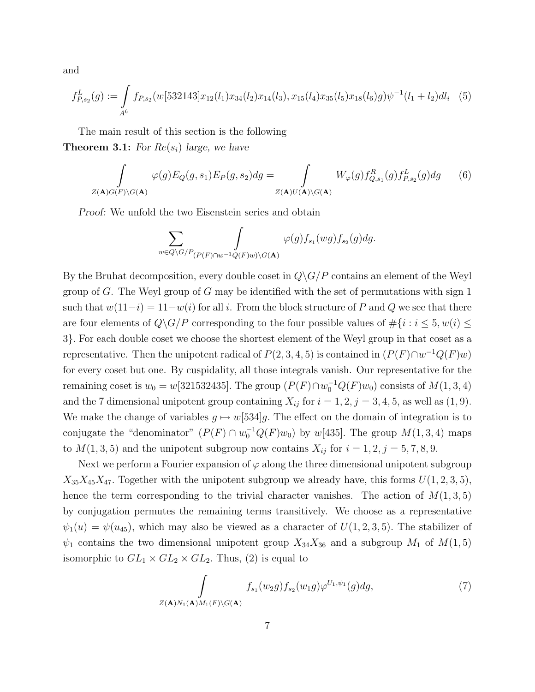and

$$
f_{P,s_2}^L(g) := \int_{A^6} f_{P,s_2}(w[532143]x_{12}(l_1)x_{34}(l_2)x_{14}(l_3), x_{15}(l_4)x_{35}(l_5)x_{18}(l_6)g)\psi^{-1}(l_1+l_2)dl_i \tag{5}
$$

The main result of this section is the following **Theorem 3.1:** For  $Re(s_i)$  large, we have

$$
\int_{Z(\mathbf{A})G(F)\backslash G(\mathbf{A})} \varphi(g) E_Q(g, s_1) E_P(g, s_2) dg = \int_{Z(\mathbf{A})U(\mathbf{A})\backslash G(\mathbf{A})} W_{\varphi}(g) f_{Q, s_1}^R(g) f_{P, s_2}^L(g) dg \qquad (6)
$$

Proof: We unfold the two Eisenstein series and obtain

$$
\sum_{w \in Q \backslash G/P_{(P(F) \cap w^{-1}Q(F)w) \backslash G(\mathbf{A})}} \varphi(g) f_{s_1}(wg) f_{s_2}(g) dg.
$$

By the Bruhat decomposition, every double coset in  $Q\backslash G/P$  contains an element of the Weyl group of G. The Weyl group of G may be identified with the set of permutations with sign  $1$ such that  $w(11-i) = 11-w(i)$  for all i. From the block structure of P and Q we see that there are four elements of  $Q\backslash G/P$  corresponding to the four possible values of  $\#\{i : i \leq 5, w(i) \leq 5, w(i) \}$  $3$ . For each double coset we choose the shortest element of the Weyl group in that coset as a representative. Then the unipotent radical of  $P(2,3,4,5)$  is contained in  $(P(F) \cap w^{-1}Q(F)w)$ for every coset but one. By cuspidality, all those integrals vanish. Our representative for the remaining coset is  $w_0 = w[321532435]$ . The group  $(P(F) \cap w_0^{-1}Q(F)w_0)$  consists of  $M(1, 3, 4)$ and the 7 dimensional unipotent group containing  $X_{ij}$  for  $i = 1, 2, j = 3, 4, 5$ , as well as  $(1, 9)$ . We make the change of variables  $g \mapsto w[534]g$ . The effect on the domain of integration is to conjugate the "denominator"  $(P(F) \cap w_0^{-1}Q(F)w_0)$  by  $w[435]$ . The group  $M(1, 3, 4)$  maps to  $M(1,3,5)$  and the unipotent subgroup now contains  $X_{ij}$  for  $i = 1, 2, j = 5, 7, 8, 9$ .

Next we perform a Fourier expansion of  $\varphi$  along the three dimensional unipotent subgroup  $X_{35}X_{45}X_{47}$ . Together with the unipotent subgroup we already have, this forms  $U(1, 2, 3, 5)$ , hence the term corresponding to the trivial character vanishes. The action of  $M(1,3,5)$ by conjugation permutes the remaining terms transitively. We choose as a representative  $\psi_1(u) = \psi(u_{45})$ , which may also be viewed as a character of  $U(1, 2, 3, 5)$ . The stabilizer of  $\psi_1$  contains the two dimensional unipotent group  $X_{34}X_{36}$  and a subgroup  $M_1$  of  $M(1,5)$ isomorphic to  $GL_1 \times GL_2 \times GL_2$ . Thus, (2) is equal to

$$
\int_{Z(\mathbf{A})N_1(\mathbf{A})M_1(F)\backslash G(\mathbf{A})} f_{s_1}(w_2g) f_{s_2}(w_1g) \varphi^{U_1,\psi_1}(g) dg, \tag{7}
$$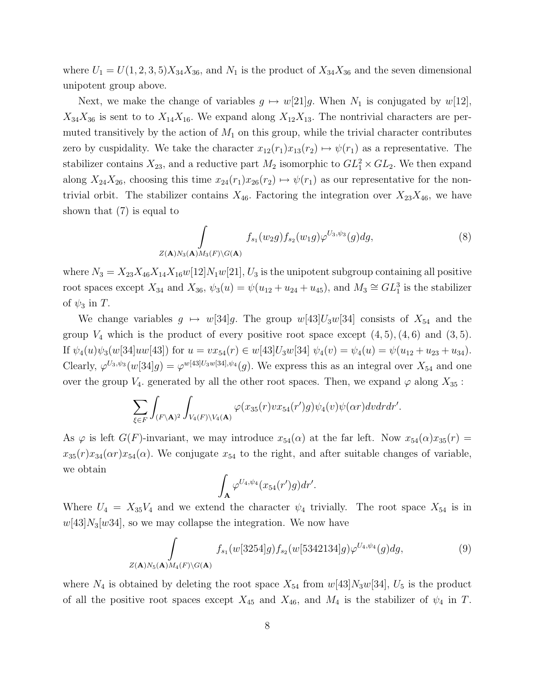where  $U_1 = U(1, 2, 3, 5)X_{34}X_{36}$ , and  $N_1$  is the product of  $X_{34}X_{36}$  and the seven dimensional unipotent group above.

Next, we make the change of variables  $g \mapsto w[21]g$ . When  $N_1$  is conjugated by  $w[12]$ ,  $X_{34}X_{36}$  is sent to to  $X_{14}X_{16}$ . We expand along  $X_{12}X_{13}$ . The nontrivial characters are permuted transitively by the action of  $M_1$  on this group, while the trivial character contributes zero by cuspidality. We take the character  $x_{12}(r_1)x_{13}(r_2) \mapsto \psi(r_1)$  as a representative. The stabilizer contains  $X_{23}$ , and a reductive part  $M_2$  isomorphic to  $GL_1^2 \times GL_2$ . We then expand along  $X_{24}X_{26}$ , choosing this time  $x_{24}(r_1)x_{26}(r_2) \mapsto \psi(r_1)$  as our representative for the nontrivial orbit. The stabilizer contains  $X_{46}$ . Factoring the integration over  $X_{23}X_{46}$ , we have shown that (7) is equal to

$$
\int_{Z(\mathbf{A})N_3(\mathbf{A})M_3(F)\backslash G(\mathbf{A})} f_{s_1}(w_2g) f_{s_2}(w_1g) \varphi^{U_3,\psi_3}(g) dg, \tag{8}
$$

where  $N_3 = X_{23}X_{46}X_{14}X_{16}w[12]N_1w[21], U_3$  is the unipotent subgroup containing all positive root spaces except  $X_{34}$  and  $X_{36}$ ,  $\psi_3(u) = \psi(u_{12} + u_{24} + u_{45})$ , and  $M_3 \cong GL_1^3$  is the stabilizer of  $\psi_3$  in T.

We change variables  $g \mapsto w[34]g$ . The group  $w[43]U_3w[34]$  consists of  $X_{54}$  and the group  $V_4$  which is the product of every positive root space except  $(4, 5)$ ,  $(4, 6)$  and  $(3, 5)$ . If  $\psi_4(u)\psi_3(w[34]uw[43])$  for  $u = vx_{54}(r) \in w[43]U_3w[34] \psi_4(v) = \psi_4(u) = \psi(u_{12} + u_{23} + u_{34}).$ Clearly,  $\varphi^{U_3,\psi_3}(w[34]g) = \varphi^{w[43]U_3w[34],\psi_4}(g)$ . We express this as an integral over  $X_{54}$  and one over the group  $V_4$ . generated by all the other root spaces. Then, we expand  $\varphi$  along  $X_{35}$ :

$$
\sum_{\xi \in F} \int_{(F \setminus A)^2} \int_{V_4(F) \setminus V_4(A)} \varphi(x_{35}(r) v x_{54}(r') g) \psi_4(v) \psi(\alpha r) dv dr dr'.
$$

As  $\varphi$  is left  $G(F)$ -invariant, we may introduce  $x_{54}(\alpha)$  at the far left. Now  $x_{54}(\alpha)x_{35}(r) =$  $x_{35}(r)x_{34}(\alpha r)x_{54}(\alpha)$ . We conjugate  $x_{54}$  to the right, and after suitable changes of variable, we obtain

$$
\int_{\mathbf{A}} \varphi^{U_4,\psi_4}(x_{54}(r')g)dr'.
$$

Where  $U_4 = X_{35}V_4$  and we extend the character  $\psi_4$  trivially. The root space  $X_{54}$  is in  $w[43]N_3[w34]$ , so we may collapse the integration. We now have

$$
\int_{Z(\mathbf{A})N_5(\mathbf{A})M_4(F)\backslash G(\mathbf{A})} f_{s_1}(w[3254]g) f_{s_2}(w[5342134]g) \varphi^{U_4,\psi_4}(g) dg, \tag{9}
$$

where  $N_4$  is obtained by deleting the root space  $X_{54}$  from  $w[43]N_3w[34]$ ,  $U_5$  is the product of all the positive root spaces except  $X_{45}$  and  $X_{46}$ , and  $M_4$  is the stabilizer of  $\psi_4$  in T.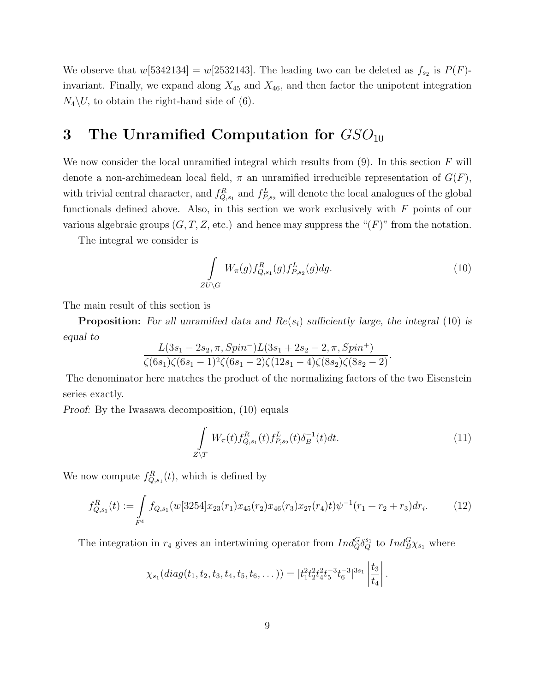We observe that  $w[5342134] = w[2532143]$ . The leading two can be deleted as  $f_{s_2}$  is  $P(F)$ invariant. Finally, we expand along  $X_{45}$  and  $X_{46}$ , and then factor the unipotent integration  $N_4\backslash U$ , to obtain the right-hand side of (6).

### 3 The Unramified Computation for  $GSO_{10}$

We now consider the local unramified integral which results from  $(9)$ . In this section F will denote a non-archimedean local field,  $\pi$  an unramified irreducible representation of  $G(F)$ , with trivial central character, and  $f_{Q,s_1}^R$  and  $f_{P,s_2}^L$  will denote the local analogues of the global functionals defined above. Also, in this section we work exclusively with  $F$  points of our various algebraic groups  $(G, T, Z, \text{etc.})$  and hence may suppress the " $(F)$ " from the notation.

The integral we consider is

$$
\int_{ZU\backslash G} W_{\pi}(g) f_{Q,s_1}^R(g) f_{P,s_2}^L(g) dg.
$$
\n(10)

The main result of this section is

**Proposition:** For all unramified data and  $Re(s_i)$  sufficiently large, the integral (10) is equal to

$$
\frac{L(3s_1-2s_2,\pi,Spin^-)L(3s_1+2s_2-2,\pi,Spin^+)}{\zeta(6s_1)\zeta(6s_1-1)^2\zeta(6s_1-2)\zeta(12s_1-4)\zeta(8s_2)\zeta(8s_2-2)}.
$$

The denominator here matches the product of the normalizing factors of the two Eisenstein series exactly.

Proof: By the Iwasawa decomposition, (10) equals

$$
\int_{Z \backslash T} W_{\pi}(t) f_{Q,s_1}^R(t) f_{P,s_2}^L(t) \delta_B^{-1}(t) dt.
$$
\n(11)

We now compute  $f_{Q,s_1}^R(t)$ , which is defined by

$$
f_{Q,s_1}^R(t) := \int\limits_{F^4} f_{Q,s_1}(w[3254]x_{23}(r_1)x_{45}(r_2)x_{46}(r_3)x_{27}(r_4)t)\psi^{-1}(r_1+r_2+r_3)dr_i.
$$
 (12)

The integration in  $r_4$  gives an intertwining operator from  $Ind_Q^G \delta_Q^{s_1}$  to  $Ind_B^G \chi_{s_1}$  where

$$
\chi_{s_1}(diag(t_1, t_2, t_3, t_4, t_5, t_6, \dots)) = |t_1^2 t_2^2 t_4^2 t_5^{-3} t_6^{-3}|^{3s_1} \left| \frac{t_3}{t_4} \right|.
$$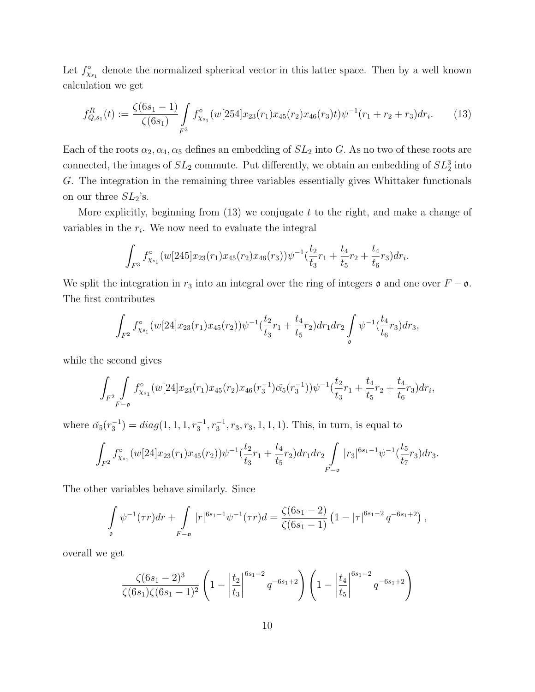Let  $f_{\chi_{s_1}}^{\circ}$  denote the normalized spherical vector in this latter space. Then by a well known calculation we get

$$
f_{Q,s_1}^R(t) := \frac{\zeta(6s_1 - 1)}{\zeta(6s_1)} \int\limits_{F^3} f_{\chi_{s_1}}^\circ(w[254]x_{23}(r_1)x_{45}(r_2)x_{46}(r_3)t)\psi^{-1}(r_1 + r_2 + r_3)dr_i.
$$
 (13)

Each of the roots  $\alpha_2, \alpha_4, \alpha_5$  defines an embedding of  $SL_2$  into G. As no two of these roots are connected, the images of  $SL_2$  commute. Put differently, we obtain an embedding of  $SL_2^3$  into G. The integration in the remaining three variables essentially gives Whittaker functionals on our three  $SL_2$ 's.

More explicitly, beginning from  $(13)$  we conjugate  $t$  to the right, and make a change of variables in the  $r_i$ . We now need to evaluate the integral

$$
\int_{F^3} f_{\chi_{s_1}}^{\circ}(w[245]x_{23}(r_1)x_{45}(r_2)x_{46}(r_3))\psi^{-1}(\frac{t_2}{t_3}r_1+\frac{t_4}{t_5}r_2+\frac{t_4}{t_6}r_3)dr_i.
$$

We split the integration in  $r_3$  into an integral over the ring of integers  $\mathfrak o$  and one over  $F - \mathfrak o$ . The first contributes

$$
\int_{F^2} f^{\circ}_{\chi_{s_1}}(w[24]x_{23}(r_1)x_{45}(r_2))\psi^{-1}(\frac{t_2}{t_3}r_1+\frac{t_4}{t_5}r_2)dr_1dr_2\int\limits_{\mathfrak{o}}\psi^{-1}(\frac{t_4}{t_6}r_3)dr_3,
$$

while the second gives

$$
\int_{F^2} \int_{F-\mathfrak{0}} f^{\circ}_{\chi_{s_1}}(w[24]x_{23}(r_1)x_{45}(r_2)x_{46}(r_3^{-1})\check{\alpha_5}(r_3^{-1}))\psi^{-1}(\frac{t_2}{t_3}r_1+\frac{t_4}{t_5}r_2+\frac{t_4}{t_6}r_3)dr_i,
$$

where  $\check{\alpha_5}(r_3^{-1}) = diag(1, 1, 1, r_3^{-1}, r_3^{-1}, r_3, r_3, 1, 1, 1)$ . This, in turn, is equal to

$$
\int_{F^2} f_{\chi_{s_1}}^{\circ} (w[24]x_{23}(r_1)x_{45}(r_2)) \psi^{-1}(\frac{t_2}{t_3}r_1 + \frac{t_4}{t_5}r_2) dr_1 dr_2 \int_{F-\mathfrak{o}} |r_3|^{6s_1-1} \psi^{-1}(\frac{t_5}{t_7}r_3) dr_3.
$$

The other variables behave similarly. Since

$$
\int_{\mathfrak{o}} \psi^{-1}(\tau r) dr + \int_{F-\mathfrak{o}} |r|^{6s_1-1} \psi^{-1}(\tau r) d = \frac{\zeta(6s_1-2)}{\zeta(6s_1-1)} \left(1 - |\tau|^{6s_1-2} q^{-6s_1+2}\right),
$$

overall we get

$$
\frac{\zeta(6s_1-2)^3}{\zeta(6s_1)\zeta(6s_1-1)^2} \left(1 - \left|\frac{t_2}{t_3}\right|^{6s_1-2} q^{-6s_1+2}\right) \left(1 - \left|\frac{t_4}{t_5}\right|^{6s_1-2} q^{-6s_1+2}\right)
$$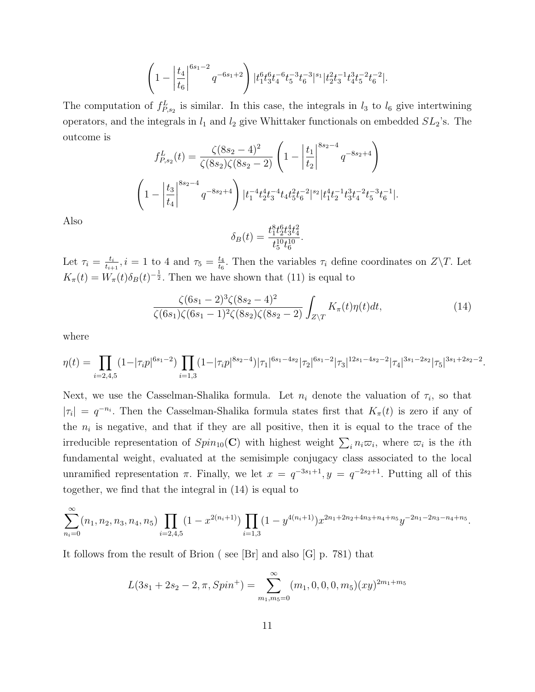$$
\left(1 - \left|\frac{t_4}{t_6}\right|^{6s_1-2} q^{-6s_1+2}\right) |t_1^6 t_3^6 t_4^{-6} t_5^{-3} t_6^{-3}|^{s_1} |t_2^2 t_3^{-1} t_4^3 t_5^{-2} t_6^{-2}|.
$$

The computation of  $f_{P,s_2}^L$  is similar. In this case, the integrals in  $l_3$  to  $l_6$  give intertwining operators, and the integrals in  $l_1$  and  $l_2$  give Whittaker functionals on embedded  $SL_2$ 's. The outcome is

$$
f_{P,s_2}^L(t) = \frac{\zeta(8s_2 - 4)^2}{\zeta(8s_2)\zeta(8s_2 - 2)} \left(1 - \left|\frac{t_1}{t_2}\right|^{8s_2 - 4} q^{-8s_2 + 4}\right)
$$

$$
\left(1 - \left|\frac{t_3}{t_4}\right|^{8s_2 - 4} q^{-8s_2 + 4}\right) |t_1^{-4}t_2^4 t_3^{-4} t_4 t_5^2 t_6^{-2}|^{s_2} |t_1^4 t_2^{-1} t_3^3 t_4^{-2} t_5^{-3} t_6^{-1}|.
$$

Also

$$
\delta_B(t) = \frac{t_1^8 t_2^6 t_3^4 t_4^2}{t_5^{10} t_6^{10}}.
$$

Let  $\tau_i = \frac{t_i}{t_{i+1}}$  $\frac{t_i}{t_{i+1}}, i = 1$  to 4 and  $\tau_5 = \frac{t_4}{t_6}$  $\frac{t_4}{t_6}$ . Then the variables  $\tau_i$  define coordinates on  $Z\backslash T$ . Let  $K_{\pi}(t) = W_{\pi}(t)\delta_B(t)^{-\frac{1}{2}}$ . Then we have shown that (11) is equal to

$$
\frac{\zeta(6s_1-2)^3\zeta(8s_2-4)^2}{\zeta(6s_1)\zeta(6s_1-1)^2\zeta(8s_2)\zeta(8s_2-2)}\int_{Z\backslash T}K_{\pi}(t)\eta(t)dt,
$$
\n(14)

where

$$
\eta(t) = \prod_{i=2,4,5} (1 - |\tau_i p|^{6s_1 - 2}) \prod_{i=1,3} (1 - |\tau_i p|^{8s_2 - 4}) |\tau_1|^{6s_1 - 4s_2} |\tau_2|^{6s_1 - 2} |\tau_3|^{12s_1 - 4s_2 - 2} |\tau_4|^{3s_1 - 2s_2} |\tau_5|^{3s_1 + 2s_2 - 2}.
$$

Next, we use the Casselman-Shalika formula. Let  $n_i$  denote the valuation of  $\tau_i$ , so that  $|\tau_i| = q^{-n_i}$ . Then the Casselman-Shalika formula states first that  $K_\pi(t)$  is zero if any of the  $n_i$  is negative, and that if they are all positive, then it is equal to the trace of the irreducible representation of  $Spin_{10}(\mathbf{C})$  with highest weight  $\sum_i n_i \varpi_i$ , where  $\varpi_i$  is the *i*th fundamental weight, evaluated at the semisimple conjugacy class associated to the local unramified representation  $\pi$ . Finally, we let  $x = q^{-3s_1+1}$ ,  $y = q^{-2s_2+1}$ . Putting all of this together, we find that the integral in (14) is equal to

$$
\sum_{n_i=0}^{\infty} (n_1, n_2, n_3, n_4, n_5) \prod_{i=2,4,5} (1 - x^{2(n_i+1)}) \prod_{i=1,3} (1 - y^{4(n_i+1)}) x^{2n_1+2n_2+4n_3+n_4+n_5} y^{-2n_1-2n_3-n_4+n_5}.
$$

It follows from the result of Brion ( see [Br] and also [G] p. 781) that

$$
L(3s_1 + 2s_2 - 2, \pi, Spin^+) = \sum_{m_1, m_5 = 0}^{\infty} (m_1, 0, 0, 0, m_5)(xy)^{2m_1 + m_5}
$$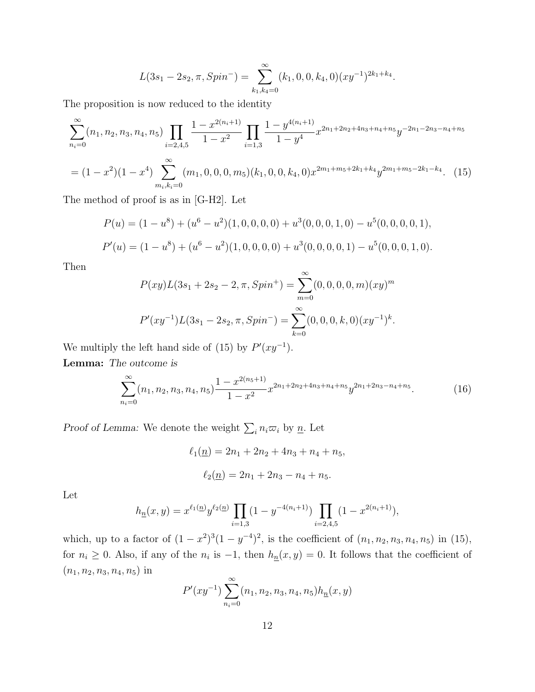$$
L(3s_1 - 2s_2, \pi, Spin^-) = \sum_{k_1, k_4=0}^{\infty} (k_1, 0, 0, k_4, 0) (xy^{-1})^{2k_1 + k_4}.
$$

The proposition is now reduced to the identity

$$
\sum_{n_i=0}^{\infty} (n_1, n_2, n_3, n_4, n_5) \prod_{i=2,4,5} \frac{1 - x^{2(n_i+1)}}{1 - x^2} \prod_{i=1,3} \frac{1 - y^{4(n_i+1)}}{1 - y^4} x^{2n_1 + 2n_2 + 4n_3 + n_4 + n_5} y^{-2n_1 - 2n_3 - n_4 + n_5}
$$
  
=  $(1 - x^2)(1 - x^4) \sum_{m_i, k_i=0}^{\infty} (m_1, 0, 0, 0, m_5)(k_1, 0, 0, k_4, 0) x^{2m_1 + m_5 + 2k_1 + k_4} y^{2m_1 + m_5 - 2k_1 - k_4}.$  (15)

The method of proof is as in [G-H2]. Let

$$
P(u) = (1 - u8) + (u6 - u2)(1, 0, 0, 0, 0) + u3(0, 0, 0, 1, 0) - u5(0, 0, 0, 0, 1),
$$
  
\n
$$
P'(u) = (1 - u8) + (u6 - u2)(1, 0, 0, 0, 0) + u3(0, 0, 0, 0, 1) - u5(0, 0, 0, 1, 0).
$$

Then

$$
P(xy)L(3s_1 + 2s_2 - 2, \pi, Spin^+) = \sum_{m=0}^{\infty} (0, 0, 0, 0, m)(xy)^m
$$
  

$$
P'(xy^{-1})L(3s_1 - 2s_2, \pi, Spin^-) = \sum_{k=0}^{\infty} (0, 0, 0, k, 0)(xy^{-1})^k.
$$

We multiply the left hand side of (15) by  $P'(xy^{-1})$ .

Lemma: The outcome is

$$
\sum_{n_i=0}^{\infty} (n_1, n_2, n_3, n_4, n_5) \frac{1 - x^{2(n_5 + 1)}}{1 - x^2} x^{2n_1 + 2n_2 + 4n_3 + n_4 + n_5} y^{2n_1 + 2n_3 - n_4 + n_5}.
$$
 (16)

*Proof of Lemma:* We denote the weight  $\sum_i n_i \varpi_i$  by  $\underline{n}$ . Let

$$
\ell_1(\underline{n}) = 2n_1 + 2n_2 + 4n_3 + n_4 + n_5,
$$
  

$$
\ell_2(\underline{n}) = 2n_1 + 2n_3 - n_4 + n_5.
$$

Let

$$
h_{\underline{n}}(x,y) = x^{\ell_1(\underline{n})} y^{\ell_2(\underline{n})} \prod_{i=1,3} (1 - y^{-4(n_i+1)}) \prod_{i=2,4,5} (1 - x^{2(n_i+1)}),
$$

which, up to a factor of  $(1-x^2)^3(1-y^{-4})^2$ , is the coefficient of  $(n_1, n_2, n_3, n_4, n_5)$  in (15), for  $n_i \geq 0$ . Also, if any of the  $n_i$  is  $-1$ , then  $h_n(x,y) = 0$ . It follows that the coefficient of  $(n_1, n_2, n_3, n_4, n_5)$  in

$$
P'(xy^{-1})\sum_{n=0}^{\infty} (n_1, n_2, n_3, n_4, n_5)h_{\underline{n}}(x, y)
$$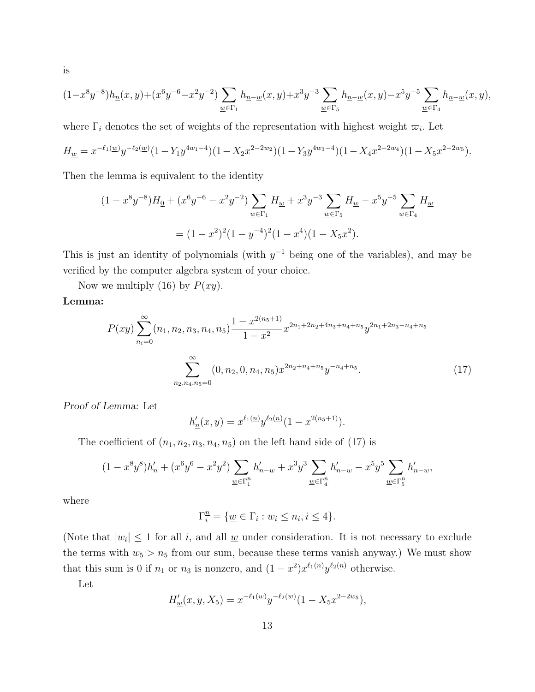$$
(1-x^8y^{-8})h_{\underline{n}}(x,y)+(x^6y^{-6}-x^2y^{-2})\sum_{\underline{w}\in \Gamma_1}h_{\underline{n}-\underline{w}}(x,y)+x^3y^{-3}\sum_{\underline{w}\in \Gamma_5}h_{\underline{n}-\underline{w}}(x,y)-x^5y^{-5}\sum_{\underline{w}\in \Gamma_4}h_{\underline{n}-\underline{w}}(x,y),
$$

where  $\Gamma_i$  denotes the set of weights of the representation with highest weight  $\varpi_i$ . Let

$$
H_{\underline{w}} = x^{-\ell_1(\underline{w})} y^{-\ell_2(\underline{w})} (1 - Y_1 y^{4w_1 - 4}) (1 - X_2 x^{2 - 2w_2}) (1 - Y_3 y^{4w_3 - 4}) (1 - X_4 x^{2 - 2w_4}) (1 - X_5 x^{2 - 2w_5}).
$$

Then the lemma is equivalent to the identity

$$
(1 - x^8 y^{-8})H_0 + (x^6 y^{-6} - x^2 y^{-2})\sum_{\underline{w} \in \Gamma_1} H_{\underline{w}} + x^3 y^{-3} \sum_{\underline{w} \in \Gamma_5} H_{\underline{w}} - x^5 y^{-5} \sum_{\underline{w} \in \Gamma_4} H_{\underline{w}}
$$
  
=  $(1 - x^2)^2 (1 - y^{-4})^2 (1 - x^4)(1 - X_5 x^2).$ 

This is just an identity of polynomials (with  $y^{-1}$  being one of the variables), and may be verified by the computer algebra system of your choice.

Now we multiply (16) by  $P(xy)$ .

#### Lemma:

$$
P(xy) \sum_{n_i=0}^{\infty} (n_1, n_2, n_3, n_4, n_5) \frac{1 - x^{2(n_5 + 1)}}{1 - x^2} x^{2n_1 + 2n_2 + 4n_3 + n_4 + n_5} y^{2n_1 + 2n_3 - n_4 + n_5}
$$

$$
\sum_{n_2, n_4, n_5=0}^{\infty} (0, n_2, 0, n_4, n_5) x^{2n_2 + n_4 + n_5} y^{-n_4 + n_5}.
$$
 (17)

Proof of Lemma: Let

$$
h'_{\underline{n}}(x,y) = x^{\ell_1(\underline{n})} y^{\ell_2(\underline{n})} (1 - x^{2(n_5+1)}).
$$

The coefficient of  $(n_1, n_2, n_3, n_4, n_5)$  on the left hand side of  $(17)$  is

$$
(1-x^8y^8)h'_{\underline{n}} + (x^6y^6 - x^2y^2)\sum_{\underline{w}\in\Gamma_1^{\underline{n}}}h'_{\underline{n}-\underline{w}} + x^3y^3\sum_{\underline{w}\in\Gamma_4^{\underline{n}}}h'_{\underline{n}-\underline{w}} - x^5y^5\sum_{\underline{w}\in\Gamma_5^{\underline{n}}}h'_{\underline{n}-\underline{w}},
$$

where

$$
\Gamma_i^{\underline{n}} = \{ \underline{w} \in \Gamma_i : w_i \le n_i, i \le 4 \}.
$$

(Note that  $|w_i| \leq 1$  for all i, and all <u>w</u> under consideration. It is not necessary to exclude the terms with  $w_5 > n_5$  from our sum, because these terms vanish anyway.) We must show that this sum is 0 if  $n_1$  or  $n_3$  is nonzero, and  $(1-x^2)x^{\ell_1(n)}y^{\ell_2(n)}$  otherwise.

Let

$$
H'_{\underline{w}}(x, y, X_5) = x^{-\ell_1(\underline{w})} y^{-\ell_2(\underline{w})} (1 - X_5 x^{2 - 2w_5}),
$$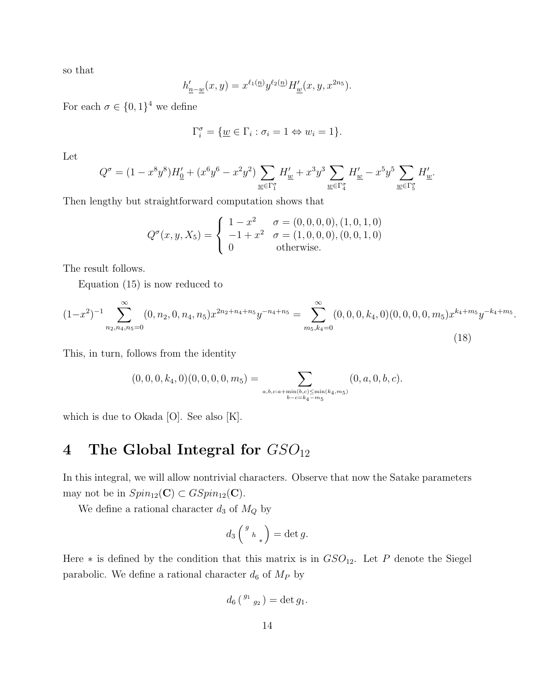so that

$$
h'_{\underline{n}-\underline{w}}(x,y) = x^{\ell_1(\underline{n})} y^{\ell_2(\underline{n})} H'_{\underline{w}}(x,y,x^{2n_5}).
$$

For each  $\sigma \in \{0,1\}^4$  we define

$$
\Gamma_i^{\sigma} = \{ \underline{w} \in \Gamma_i : \sigma_i = 1 \Leftrightarrow w_i = 1 \}.
$$

Let

$$
Q^{\sigma} = (1-x^8y^8)H_0' + (x^6y^6 - x^2y^2)\sum_{\underline{w}\in \Gamma_1^{\sigma}}H'_{\underline{w}} + x^3y^3\sum_{\underline{w}\in \Gamma_4^{\sigma}}H'_{\underline{w}} - x^5y^5\sum_{\underline{w}\in \Gamma_5^{\sigma}}H'_{\underline{w}}.
$$

Then lengthy but straightforward computation shows that

$$
Q^{\sigma}(x, y, X_5) = \begin{cases} 1 - x^2 & \sigma = (0, 0, 0, 0), (1, 0, 1, 0) \\ -1 + x^2 & \sigma = (1, 0, 0, 0), (0, 0, 1, 0) \\ 0 & \text{otherwise.} \end{cases}
$$

The result follows.

Equation (15) is now reduced to

$$
(1-x^2)^{-1} \sum_{n_2,n_4,n_5=0}^{\infty} (0,n_2,0,n_4,n_5) x^{2n_2+n_4+n_5} y^{-n_4+n_5} = \sum_{m_5,k_4=0}^{\infty} (0,0,0,k_4,0)(0,0,0,0,m_5) x^{k_4+m_5} y^{-k_4+m_5}.
$$
\n(18)

This, in turn, follows from the identity

$$
(0,0,0,k_4,0)(0,0,0,0,m_5) = \sum_{a,b,c:a+\min(b,c) \le \min(k_4,m_5)} (0,a,0,b,c).
$$

which is due to Okada [O]. See also [K].

## 4 The Global Integral for  $GSO_{12}$

In this integral, we will allow nontrivial characters. Observe that now the Satake parameters may not be in  $Spin_{12}(\mathbf{C}) \subset GSpin_{12}(\mathbf{C})$ .

We define a rational character  $d_3$  of  $M_Q$  by

$$
d_3\left(\begin{array}{c} g\\h\end{array}\right)=\det g.
$$

Here  $*$  is defined by the condition that this matrix is in  $GSO_{12}$ . Let P denote the Siegel parabolic. We define a rational character  $d_6$  of  $M_P$  by

$$
d_6\left(\begin{smallmatrix} g_1 & \\ & g_2 \end{smallmatrix}\right) = \det g_1.
$$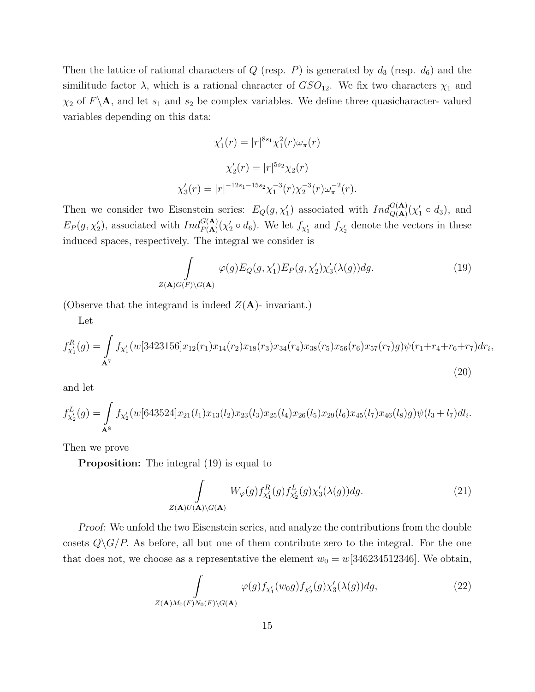Then the lattice of rational characters of  $Q$  (resp.  $P$ ) is generated by  $d_3$  (resp.  $d_6$ ) and the similitude factor  $\lambda$ , which is a rational character of  $GSO_{12}$ . We fix two characters  $\chi_1$  and  $\chi_2$  of  $F\backslash$ **A**, and let  $s_1$  and  $s_2$  be complex variables. We define three quasicharacter-valued variables depending on this data:

$$
\chi'_1(r) = |r|^{8s_1} \chi_1^2(r) \omega_\pi(r)
$$

$$
\chi'_2(r) = |r|^{5s_2} \chi_2(r)
$$

$$
\chi'_3(r) = |r|^{-12s_1 - 15s_2} \chi_1^{-3}(r) \chi_2^{-3}(r) \omega_\pi^{-2}(r).
$$

Then we consider two Eisenstein series:  $E_Q(g, \chi'_1)$  associated with  $Ind_{Q(\mathbf{A})}^{G(\mathbf{A})}(\chi'_1 \circ d_3)$ , and  $E_P(g, \chi'_2)$ , associated with  $Ind_{P(A)}^{G(A)}(\chi'_2 \circ d_6)$ . We let  $f_{\chi'_1}$  and  $f_{\chi'_2}$  denote the vectors in these induced spaces, respectively. The integral we consider is

$$
\int_{Z(\mathbf{A})G(F)\backslash G(\mathbf{A})} \varphi(g) E_Q(g, \chi_1') E_P(g, \chi_2') \chi_3'(\lambda(g)) dg.
$$
\n(19)

,

(Observe that the integrand is indeed  $Z(\mathbf{A})$ - invariant.)

Let

$$
f_{\chi_1'}^R(g) = \int_{\mathbf{A}^7} f_{\chi_1'}(w[3423156]x_{12}(r_1)x_{14}(r_2)x_{18}(r_3)x_{34}(r_4)x_{38}(r_5)x_{56}(r_6)x_{57}(r_7)g)\psi(r_1+r_4+r_6+r_7)dr_6
$$
\n(20)

and let

$$
f_{\chi'_2}^L(g) = \int_{\mathbf{A}^8} f_{\chi'_2}(w[643524]x_{21}(l_1)x_{13}(l_2)x_{23}(l_3)x_{25}(l_4)x_{26}(l_5)x_{29}(l_6)x_{45}(l_7)x_{46}(l_8)g)\psi(l_3+l_7)dl_i.
$$

Then we prove

**Proposition:** The integral (19) is equal to

$$
\int_{Z(\mathbf{A})U(\mathbf{A})\backslash G(\mathbf{A})} W_{\varphi}(g) f_{\chi_1'}^R(g) f_{\chi_2'}^L(g) \chi_3'(\lambda(g)) dg.
$$
\n(21)

Proof: We unfold the two Eisenstein series, and analyze the contributions from the double cosets  $Q\backslash G/P$ . As before, all but one of them contribute zero to the integral. For the one that does not, we choose as a representative the element  $w_0 = w[346234512346]$ . We obtain,

$$
\int_{Z(\mathbf{A})M_0(F)N_0(F)\backslash G(\mathbf{A})}\varphi(g)f_{\chi_1'}(w_0g)f_{\chi_2'}(g)\chi_3'(\lambda(g))dg,\tag{22}
$$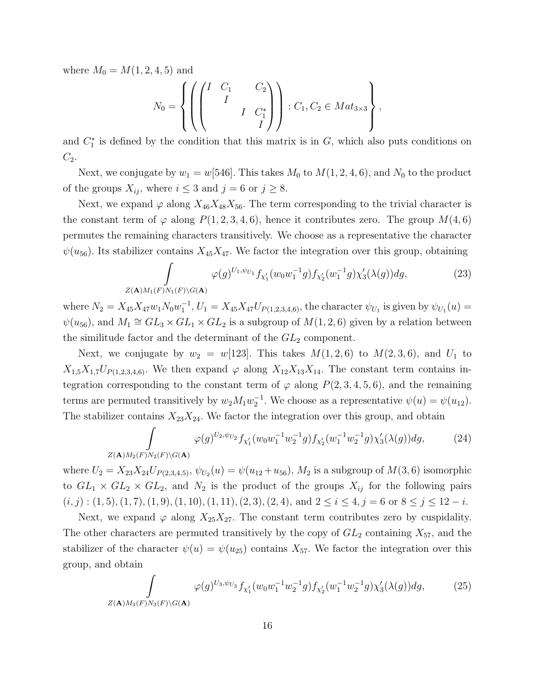where  $M_0 = M(1, 2, 4, 5)$  and

$$
N_0 = \left\{ \left( \begin{pmatrix} I & C_1 & C_2 \\ & I & \\ & & I & C_1^* \\ & & & I \end{pmatrix} \right) : C_1, C_2 \in Mat_{3 \times 3} \right\},\
$$

and  $C_1^*$  is defined by the condition that this matrix is in  $G$ , which also puts conditions on  $C_2$ .

Next, we conjugate by  $w_1 = w[546]$ . This takes  $M_0$  to  $M(1, 2, 4, 6)$ , and  $N_0$  to the product of the groups  $X_{ij}$ , where  $i \leq 3$  and  $j = 6$  or  $j \geq 8$ .

Next, we expand  $\varphi$  along  $X_{46}X_{48}X_{56}$ . The term corresponding to the trivial character is the constant term of  $\varphi$  along  $P(1, 2, 3, 4, 6)$ , hence it contributes zero. The group  $M(4, 6)$ permutes the remaining characters transitively. We choose as a representative the character  $\psi(u_{56})$ . Its stabilizer contains  $X_{45}X_{47}$ . We factor the integration over this group, obtaining

$$
\int_{Z(\mathbf{A})M_1(F)N_1(F)\backslash G(\mathbf{A})}\varphi(g)^{U_1,\psi_{U_1}}f_{\chi'_1}(w_0w_1^{-1}g)f_{\chi'_2}(w_1^{-1}g)\chi'_3(\lambda(g))dg,\tag{23}
$$

where  $N_2 = X_{45}X_{47}w_1N_0w_1^{-1}$ ,  $U_1 = X_{45}X_{47}U_{P(1,2,3,4,6)}$ , the character  $\psi_{U_1}$  is given by  $\psi_{U_1}(u)$  $\psi(u_{56})$ , and  $M_1 \cong GL_3 \times GL_1 \times GL_2$  is a subgroup of  $M(1, 2, 6)$  given by a relation between the similitude factor and the determinant of the  $GL_2$  component.

Next, we conjugate by  $w_2 = w[123]$ . This takes  $M(1, 2, 6)$  to  $M(2, 3, 6)$ , and  $U_1$  to  $X_{1,5}X_{1,7}U_{P(1,2,3,4,6)}$ . We then expand  $\varphi$  along  $X_{12}X_{13}X_{14}$ . The constant term contains integration corresponding to the constant term of  $\varphi$  along  $P(2,3,4,5,6)$ , and the remaining terms are permuted transitively by  $w_2 M_1 w_2^{-1}$ . We choose as a representative  $\psi(u) = \psi(u_{12})$ . The stabilizer contains  $X_{23}X_{24}$ . We factor the integration over this group, and obtain

$$
\int_{Z(\mathbf{A})M_2(F)N_2(F)\backslash G(\mathbf{A})} \varphi(g)^{U_2,\psi_{U_2}} f_{\chi'_1}(w_0 w_1^{-1} w_2^{-1} g) f_{\chi'_2}(w_1^{-1} w_2^{-1} g) \chi'_3(\lambda(g)) dg, \tag{24}
$$

where  $U_2 = X_{23}X_{24}U_{P(2,3,4,5)}, \psi_{U_2}(u) = \psi(u_{12} + u_{56}), M_2$  is a subgroup of  $M(3,6)$  isomorphic to  $GL_1 \times GL_2 \times GL_2$ , and  $N_2$  is the product of the groups  $X_{ij}$  for the following pairs  $(i, j) : (1, 5), (1, 7), (1, 9), (1, 10), (1, 11), (2, 3), (2, 4), \text{ and } 2 \leq i \leq 4, j = 6 \text{ or } 8 \leq j \leq 12 - i.$ 

Next, we expand  $\varphi$  along  $X_{25}X_{27}$ . The constant term contributes zero by cuspidality. The other characters are permuted transitively by the copy of  $GL_2$  containing  $X_{57}$ , and the stabilizer of the character  $\psi(u) = \psi(u_{25})$  contains  $X_{57}$ . We factor the integration over this group, and obtain

$$
\int_{Z(\mathbf{A})M_3(F)N_3(F)\backslash G(\mathbf{A})} \varphi(g)^{U_3,\psi_{U_3}} f_{\chi'_1}(w_0 w_1^{-1} w_2^{-1} g) f_{\chi'_2}(w_1^{-1} w_2^{-1} g) \chi'_3(\lambda(g)) dg, \tag{25}
$$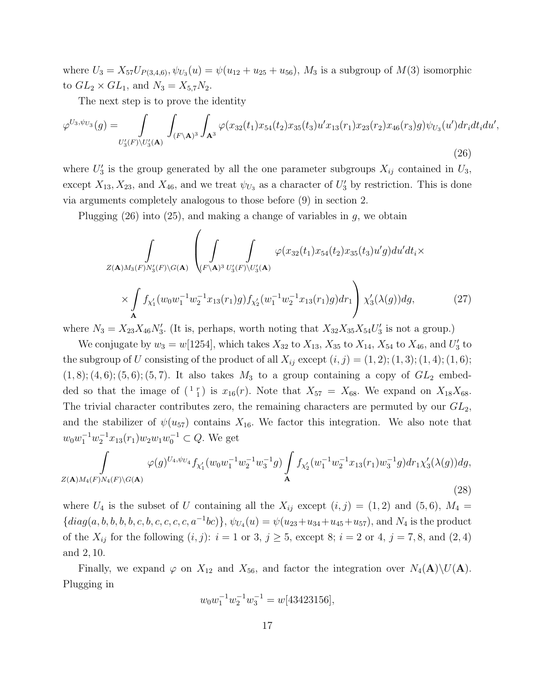where  $U_3 = X_{57}U_{P(3,4,6)}, \psi_{U_3}(u) = \psi(u_{12} + u_{25} + u_{56}), M_3$  is a subgroup of  $M(3)$  isomorphic to  $GL_2 \times GL_1$ , and  $N_3 = X_{5,7}N_2$ .

The next step is to prove the identity

$$
\varphi^{U_3,\psi_{U_3}}(g) = \int_{U_3'(F)\backslash U_3'(A)} \int_{(F\backslash A)^3} \int_{A^3} \varphi(x_{32}(t_1)x_{54}(t_2)x_{35}(t_3)u'x_{13}(r_1)x_{23}(r_2)x_{46}(r_3)g)\psi_{U_3}(u')dr_i dt_i du',\tag{26}
$$

where  $U_3'$  is the group generated by all the one parameter subgroups  $X_{ij}$  contained in  $U_3$ , except  $X_{13}, X_{23}$ , and  $X_{46}$ , and we treat  $\psi_{U_3}$  as a character of  $U'_3$  by restriction. This is done via arguments completely analogous to those before (9) in section 2.

Plugging  $(26)$  into  $(25)$ , and making a change of variables in g, we obtain

$$
\int_{Z(\mathbf{A})M_3(F)N_3'(F)\backslash G(\mathbf{A})} \left( \int_{(F\backslash \mathbf{A})^3} \int_{U_3'(F)\backslash U_3'(\mathbf{A})} \varphi(x_{32}(t_1)x_{54}(t_2)x_{35}(t_3)u'g) du'dt_i \times \int_{\mathbf{A}} f_{\chi_1'}(w_0w_1^{-1}w_2^{-1}x_{13}(r_1)g) f_{\chi_2'}(w_1^{-1}w_2^{-1}x_{13}(r_1)g) dr_1 \right) \chi_3'(\lambda(g)) dg,
$$
\n(27)

where  $N_3 = X_{23}X_{46}N'_3$ . (It is, perhaps, worth noting that  $X_{32}X_{35}X_{54}U'_3$  is not a group.)

We conjugate by  $w_3 = w[1254]$ , which takes  $X_{32}$  to  $X_{13}$ ,  $X_{35}$  to  $X_{14}$ ,  $X_{54}$  to  $X_{46}$ , and  $U'_3$  to the subgroup of U consisting of the product of all  $X_{ij}$  except  $(i, j) = (1, 2); (1, 3); (1, 4); (1, 6);$  $(1, 8)$ ;  $(4, 6)$ ;  $(5, 6)$ ;  $(5, 7)$ . It also takes  $M_3$  to a group containing a copy of  $GL_2$  embedded so that the image of  $({}^{1}r_1)$  is  $x_{16}(r)$ . Note that  $X_{57} = X_{68}$ . We expand on  $X_{18}X_{68}$ . The trivial character contributes zero, the remaining characters are permuted by our  $GL_2$ , and the stabilizer of  $\psi(u_{57})$  contains  $X_{16}$ . We factor this integration. We also note that  $w_0w_1^{-1}w_2^{-1}x_{13}(r_1)w_2w_1w_0^{-1} \subset Q$ . We get

$$
\int_{Z(\mathbf{A})M_4(F)N_4(F)\backslash G(\mathbf{A})} \varphi(g)^{U_4,\psi_{U_4}} f_{\chi'_1}(w_0 w_1^{-1} w_2^{-1} w_3^{-1} g) \int_{\mathbf{A}} f_{\chi'_2}(w_1^{-1} w_2^{-1} x_{13}(r_1) w_3^{-1} g) dr_1 \chi'_3(\lambda(g)) dg,
$$
\n(28)

where  $U_4$  is the subset of U containing all the  $X_{ij}$  except  $(i, j) = (1, 2)$  and  $(5, 6)$ ,  $M_4 =$  ${diag(a, b, b, b, c, b, c, c, c, c, a^{-1}bc)}$ ,  $\psi_{U_4}(u) = \psi(u_{23} + u_{34} + u_{45} + u_{57})$ , and  $N_4$  is the product of the  $X_{ij}$  for the following  $(i, j)$ :  $i = 1$  or 3,  $j \ge 5$ , except 8;  $i = 2$  or 4,  $j = 7, 8$ , and  $(2, 4)$ and 2, 10.

Finally, we expand  $\varphi$  on  $X_{12}$  and  $X_{56}$ , and factor the integration over  $N_4(A)\setminus U(A)$ . Plugging in

$$
w_0 w_1^{-1} w_2^{-1} w_3^{-1} = w[43423156],
$$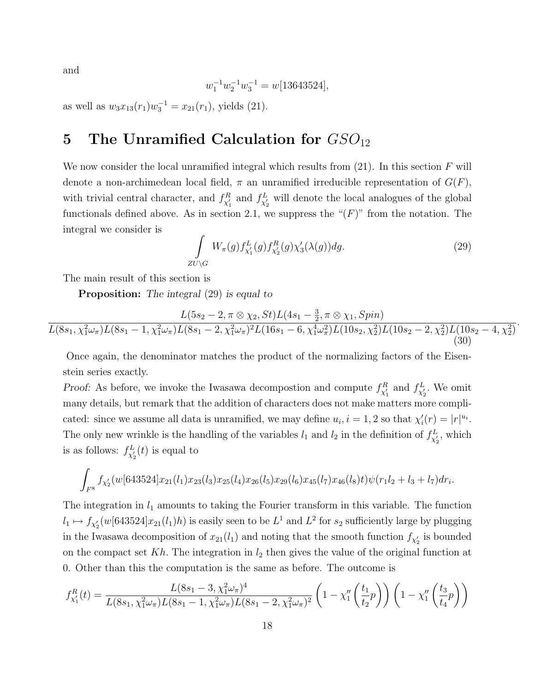and

$$
w_1^{-1} w_2^{-1} w_3^{-1} = w[13643524],
$$

as well as  $w_3x_{13}(r_1)w_3^{-1} = x_{21}(r_1)$ , yields (21).

### 5 The Unramified Calculation for  $GSO_{12}$

We now consider the local unramified integral which results from  $(21)$ . In this section F will denote a non-archimedean local field,  $\pi$  an unramified irreducible representation of  $G(F)$ , with trivial central character, and  $f_{\chi'_1}^R$  and  $f_{\chi'_2}^L$  will denote the local analogues of the global functionals defined above. As in section 2.1, we suppress the " $(F)$ " from the notation. The integral we consider is

$$
\int_{\partial U \backslash G} W_{\pi}(g) f_{\chi'_1}^L(g) f_{\chi'_2}^R(g) \chi'_3(\lambda(g)) dg.
$$
\n(29)

.

The main result of this section is

**Proposition:** The integral (29) is equal to

 $\overline{Z}$ 

$$
\frac{L(5s_2 - 2, \pi \otimes \chi_2, St)L(4s_1 - \frac{3}{2}, \pi \otimes \chi_1, Spin)}{L(8s_1, \chi_1^2 \omega_\pi)L(8s_1 - 1, \chi_1^2 \omega_\pi)L(8s_1 - 2, \chi_1^2 \omega_\pi)^2L(16s_1 - 6, \chi_1^4 \omega_\pi^2)L(10s_2, \chi_2^2)L(10s_2 - 2, \chi_2^2)L(10s_2 - 4, \chi_2^2)}\tag{30}
$$

Once again, the denominator matches the product of the normalizing factors of the Eisenstein series exactly.

*Proof:* As before, we invoke the Iwasawa decompostion and compute  $f_{\chi'_1}^R$  and  $f_{\chi'_2}^L$ . We omit many details, but remark that the addition of characters does not make matters more complicated: since we assume all data is unramified, we may define  $u_i$ ,  $i = 1, 2$  so that  $\chi'_i(r) = |r|^{u_i}$ . The only new wrinkle is the handling of the variables  $l_1$  and  $l_2$  in the definition of  $f_{\chi'_2}^L$ , which is as follows:  $f_{\chi'_2}^L(t)$  is equal to

$$
\int_{F^8} f_{\chi'_2}(w[643524]x_{21}(l_1)x_{23}(l_3)x_{25}(l_4)x_{26}(l_5)x_{29}(l_6)x_{45}(l_7)x_{46}(l_8)t)\psi(r_1l_2+l_3+l_7)dr_i.
$$

The integration in  $l_1$  amounts to taking the Fourier transform in this variable. The function  $l_1 \mapsto f_{\chi'_2}(w[643524]x_{21}(l_1)h)$  is easily seen to be  $L^1$  and  $L^2$  for  $s_2$  sufficiently large by plugging in the Iwasawa decomposition of  $x_{21}(l_1)$  and noting that the smooth function  $f_{\chi'_2}$  is bounded on the compact set Kh. The integration in  $l_2$  then gives the value of the original function at 0. Other than this the computation is the same as before. The outcome is

$$
f_{\chi_1'}^R(t) = \frac{L(8s_1 - 3, \chi_1^2 \omega_\pi)^4}{L(8s_1, \chi_1^2 \omega_\pi)L(8s_1 - 1, \chi_1^2 \omega_\pi)L(8s_1 - 2, \chi_1^2 \omega_\pi)^2} \left(1 - \chi_1''\left(\frac{t_1}{t_2}p\right)\right) \left(1 - \chi_1''\left(\frac{t_3}{t_4}p\right)\right)
$$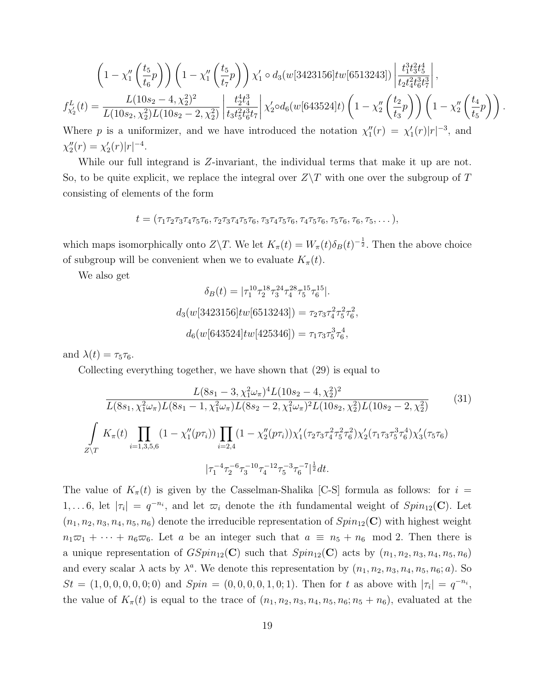$$
\left(1 - \chi_1''\left(\frac{t_5}{t_6}p\right)\right) \left(1 - \chi_1''\left(\frac{t_5}{t_7}p\right)\right) \chi_1' \circ d_3(w[3423156]tw[6513243]) \left|\frac{t_1^3 t_3^2 t_5^4}{t_2 t_4^2 t_6^3 t_7^3}\right|,
$$
\n
$$
f_{\chi_2'}^L(t) = \frac{L(10s_2 - 4, \chi_2^2)^2}{L(10s_2, \chi_2^2)L(10s_2 - 2, \chi_2^2)} \left|\frac{t_2^4 t_4^3}{t_3 t_5^2 t_6^3 t_7}\right| \chi_2' \circ d_6(w[643524]t) \left(1 - \chi_2''\left(\frac{t_2}{t_3}p\right)\right) \left(1 - \chi_2''\left(\frac{t_4}{t_5}p\right)\right).
$$
\nWhere, n is a uniformizer, and we have introduced the notation  $\chi''(x) = \chi'(x)|x|^{-3}$  and

Where p is a uniformizer, and we have introduced the notation  $\chi_1''(r) = \chi_1'(r) |r|^{-3}$ , and  $\chi''_2(r) = \chi'_2(r)|r|^{-4}.$ 

While our full integrand is Z-invariant, the individual terms that make it up are not. So, to be quite explicit, we replace the integral over  $Z\$ T with one over the subgroup of T consisting of elements of the form

$$
t = (\tau_1 \tau_2 \tau_3 \tau_4 \tau_5 \tau_6, \tau_2 \tau_3 \tau_4 \tau_5 \tau_6, \tau_3 \tau_4 \tau_5 \tau_6, \tau_4 \tau_5 \tau_6, \tau_5 \tau_6, \tau_6, \tau_5, \dots),
$$

which maps isomorphically onto  $Z\Y$ . We let  $K_{\pi}(t) = W_{\pi}(t)\delta_B(t)^{-\frac{1}{2}}$ . Then the above choice of subgroup will be convenient when we to evaluate  $K_{\pi}(t)$ .

We also get

$$
\delta_B(t) = |\tau_1^{10} \tau_2^{18} \tau_3^{24} \tau_4^{28} \tau_5^{15} \tau_6^{15}|.
$$
  

$$
d_3(w[3423156]tw[6513243]) = \tau_2 \tau_3 \tau_4^2 \tau_5^2 \tau_6^2,
$$
  

$$
d_6(w[643524]tw[425346]) = \tau_1 \tau_3 \tau_5^3 \tau_6^4,
$$

and  $\lambda(t) = \tau_5 \tau_6$ .

Collecting everything together, we have shown that (29) is equal to

$$
\frac{L(8s_1 - 3, \chi_1^2 \omega_\pi)^4 L(10s_2 - 4, \chi_2^2)^2}{L(8s_1, \chi_1^2 \omega_\pi) L(8s_1 - 1, \chi_1^2 \omega_\pi) L(8s_2 - 2, \chi_1^2 \omega_\pi)^2 L(10s_2, \chi_2^2) L(10s_2 - 2, \chi_2^2)}
$$
(31)  

$$
\int_{Z \setminus T} K_\pi(t) \prod_{i=1,3,5,6} (1 - \chi_1''(p\tau_i)) \prod_{i=2,4} (1 - \chi_2''(p\tau_i)) \chi_1'(\tau_2 \tau_3 \tau_4^2 \tau_5^2 \tau_6^2) \chi_2'(\tau_1 \tau_3 \tau_5^3 \tau_6^4) \chi_3'(\tau_5 \tau_6)
$$

$$
|\tau_1^{-4} \tau_2^{-6} \tau_3^{-10} \tau_4^{-12} \tau_5^{-3} \tau_6^{-7}|^{\frac{1}{2}} dt.
$$

The value of  $K_\pi(t)$  is given by the Casselman-Shalika [C-S] formula as follows: for  $i =$ 1,...6, let  $|\tau_i| = q^{-n_i}$ , and let  $\overline{\omega}_i$  denote the *i*th fundamental weight of  $Spin_{12}(\mathbf{C})$ . Let  $(n_1, n_2, n_3, n_4, n_5, n_6)$  denote the irreducible representation of  $Spin_{12}(\mathbf{C})$  with highest weight  $n_1\varpi_1 + \cdots + n_6\varpi_6$ . Let a be an integer such that  $a \equiv n_5 + n_6 \mod 2$ . Then there is a unique representation of  $GSpin_{12}(\mathbf{C})$  such that  $Spin_{12}(\mathbf{C})$  acts by  $(n_1, n_2, n_3, n_4, n_5, n_6)$ and every scalar  $\lambda$  acts by  $\lambda^a$ . We denote this representation by  $(n_1, n_2, n_3, n_4, n_5, n_6; a)$ . So  $St = (1, 0, 0, 0, 0, 0, 0; 0)$  and  $Spin = (0, 0, 0, 0, 1, 0; 1)$ . Then for t as above with  $|\tau_i| = q^{-n_i}$ , the value of  $K_\pi(t)$  is equal to the trace of  $(n_1, n_2, n_3, n_4, n_5, n_6; n_5 + n_6)$ , evaluated at the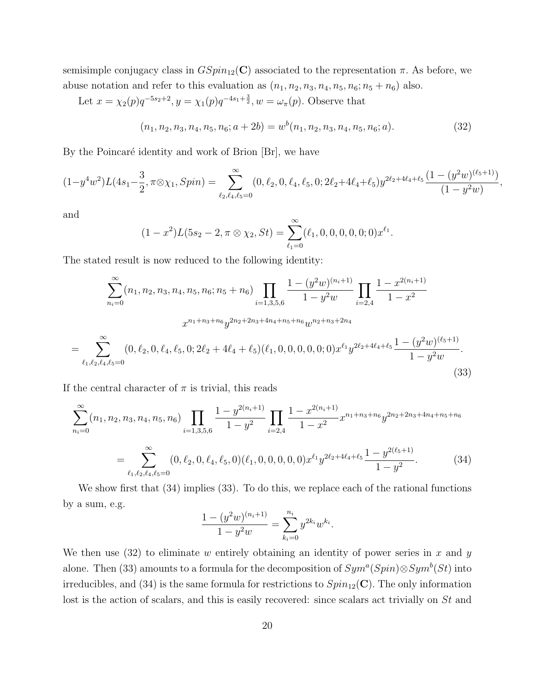semisimple conjugacy class in  $GSpin_{12}(\mathbf{C})$  associated to the representation  $\pi$ . As before, we abuse notation and refer to this evaluation as  $(n_1, n_2, n_3, n_4, n_5, n_6; n_5 + n_6)$  also.

Let  $x = \chi_2(p)q^{-5s_2+2}, y = \chi_1(p)q^{-4s_1+\frac{3}{2}}, w = \omega_\pi(p)$ . Observe that

$$
(n_1, n_2, n_3, n_4, n_5, n_6; a + 2b) = w^b(n_1, n_2, n_3, n_4, n_5, n_6; a). \tag{32}
$$

,

By the Poincaré identity and work of Brion  $|Br|$ , we have

$$
(1-y^4w^2)L(4s_1-\frac{3}{2},\pi\otimes\chi_1,Spin) = \sum_{\ell_2,\ell_4,\ell_5=0}^{\infty} (0,\ell_2,0,\ell_4,\ell_5,0;2\ell_2+4\ell_4+\ell_5)y^{2\ell_2+4\ell_4+\ell_5}\frac{(1-(y^2w)^{(\ell_5+1)})}{(1-y^2w)}
$$

and

$$
(1-x^2)L(5s_2-2,\pi\otimes\chi_2,St)=\sum_{\ell_1=0}^{\infty}(\ell_1,0,0,0,0,0,0)x^{\ell_1}.
$$

The stated result is now reduced to the following identity:

$$
\sum_{n_{i}=0}^{\infty} (n_{1}, n_{2}, n_{3}, n_{4}, n_{5}, n_{6}; n_{5} + n_{6}) \prod_{i=1,3,5,6} \frac{1 - (y^{2}w)^{(n_{i}+1)}}{1 - y^{2}w} \prod_{i=2,4} \frac{1 - x^{2(n_{i}+1)}}{1 - x^{2}}
$$

$$
x^{n_{1}+n_{3}+n_{6}} y^{2n_{2}+2n_{3}+4n_{4}+n_{5}+n_{6}} w^{n_{2}+n_{3}+2n_{4}}
$$

$$
= \sum_{\ell_{1},\ell_{2},\ell_{4},\ell_{5}=0}^{\infty} (0, \ell_{2}, 0, \ell_{4}, \ell_{5}, 0; 2\ell_{2} + 4\ell_{4} + \ell_{5}) (\ell_{1}, 0, 0, 0, 0, 0; 0) x^{\ell_{1}} y^{2\ell_{2}+4\ell_{4}+\ell_{5}} \frac{1 - (y^{2}w)^{(\ell_{5}+1)}}{1 - y^{2}w}.
$$
(33)

If the central character of  $\pi$  is trivial, this reads

$$
\sum_{n_i=0}^{\infty} (n_1, n_2, n_3, n_4, n_5, n_6) \prod_{i=1,3,5,6} \frac{1 - y^{2(n_i+1)}}{1 - y^2} \prod_{i=2,4} \frac{1 - x^{2(n_i+1)}}{1 - x^2} x^{n_1 + n_3 + n_6} y^{2n_2 + 2n_3 + 4n_4 + n_5 + n_6}
$$
  
= 
$$
\sum_{\ell_1, \ell_2, \ell_4, \ell_5 = 0}^{\infty} (0, \ell_2, 0, \ell_4, \ell_5, 0) (\ell_1, 0, 0, 0, 0, 0, 0) x^{\ell_1} y^{2\ell_2 + 4\ell_4 + \ell_5} \frac{1 - y^{2(\ell_5+1)}}{1 - y^2}.
$$
 (34)

We show first that (34) implies (33). To do this, we replace each of the rational functions by a sum, e.g.

$$
\frac{1 - (y^2 w)^{(n_i + 1)}}{1 - y^2 w} = \sum_{k_i = 0}^{n_i} y^{2k_i} w^{k_i}.
$$

We then use  $(32)$  to eliminate w entirely obtaining an identity of power series in x and y alone. Then (33) amounts to a formula for the decomposition of  $Sym^a(Spin) \otimes Sym^b(St)$  into irreducibles, and (34) is the same formula for restrictions to  $Spin_{12}(\mathbf{C})$ . The only information lost is the action of scalars, and this is easily recovered: since scalars act trivially on St and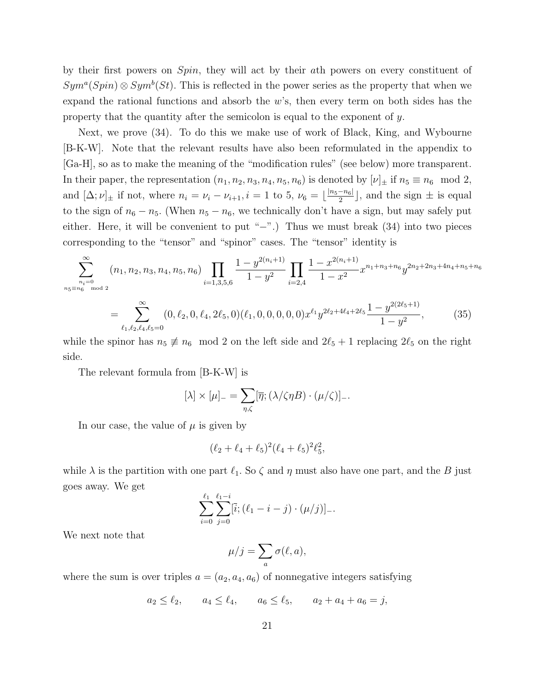by their first powers on Spin, they will act by their ath powers on every constituent of  $Sym<sup>a</sup>(Spin) \otimes Sym<sup>b</sup>(St)$ . This is reflected in the power series as the property that when we expand the rational functions and absorb the  $w$ 's, then every term on both sides has the property that the quantity after the semicolon is equal to the exponent of y.

Next, we prove (34). To do this we make use of work of Black, King, and Wybourne [B-K-W]. Note that the relevant results have also been reformulated in the appendix to [Ga-H], so as to make the meaning of the "modification rules" (see below) more transparent. In their paper, the representation  $(n_1, n_2, n_3, n_4, n_5, n_6)$  is denoted by  $[\nu]_{\pm}$  if  $n_5 \equiv n_6 \mod 2$ , and  $[\Delta; \nu]_{\pm}$  if not, where  $n_i = \nu_i - \nu_{i+1}$ ,  $i = 1$  to 5,  $\nu_6 = \lfloor \frac{|n_5 - n_6|}{2} \rfloor$  $\frac{-n_{6}}{2}$ , and the sign  $\pm$  is equal to the sign of  $n_6 - n_5$ . (When  $n_5 - n_6$ , we technically don't have a sign, but may safely put either. Here, it will be convenient to put "−".) Thus we must break (34) into two pieces corresponding to the "tensor" and "spinor" cases. The "tensor" identity is

$$
\sum_{\substack{n_i=0 \ n_5 \equiv n_6 \mod 2}}^{\infty} (n_1, n_2, n_3, n_4, n_5, n_6) \prod_{i=1,3,5,6} \frac{1 - y^{2(n_i+1)}}{1 - y^2} \prod_{i=2,4} \frac{1 - x^{2(n_i+1)}}{1 - x^2} x^{n_1 + n_3 + n_6} y^{2n_2 + 2n_3 + 4n_4 + n_5 + n_6}
$$
\n
$$
= \sum_{\ell_1, \ell_2, \ell_4, \ell_5 = 0}^{\infty} (0, \ell_2, 0, \ell_4, 2\ell_5, 0) (\ell_1, 0, 0, 0, 0, 0) x^{\ell_1} y^{2\ell_2 + 4\ell_4 + 2\ell_5} \frac{1 - y^{2(2\ell_5 + 1)}}{1 - y^2},
$$
\n(35)

while the spinor has  $n_5 \neq n_6 \mod 2$  on the left side and  $2\ell_5 + 1$  replacing  $2\ell_5$  on the right side.

The relevant formula from [B-K-W] is

$$
[\lambda] \times [\mu]_{-} = \sum_{\eta,\zeta} [\overline{\eta}; (\lambda/\zeta \eta B) \cdot (\mu/\zeta)]_{-}.
$$

In our case, the value of  $\mu$  is given by

$$
(\ell_2+\ell_4+\ell_5)^2(\ell_4+\ell_5)^2\ell_5^2,
$$

while  $\lambda$  is the partition with one part  $\ell_1$ . So  $\zeta$  and  $\eta$  must also have one part, and the B just goes away. We get

$$
\sum_{i=0}^{\ell_1} \sum_{j=0}^{\ell_1-i} [\bar{i}; (\ell_1-i-j) \cdot (\mu/j)]_-.
$$

We next note that

$$
\mu/j = \sum_{a} \sigma(\ell, a),
$$

where the sum is over triples  $a = (a_2, a_4, a_6)$  of nonnegative integers satisfying

$$
a_2 \le \ell_2
$$
,  $a_4 \le \ell_4$ ,  $a_6 \le \ell_5$ ,  $a_2 + a_4 + a_6 = j$ ,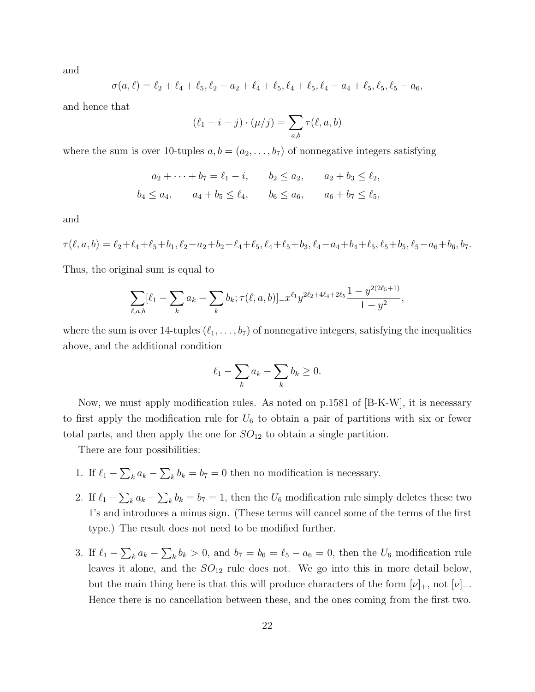and

$$
\sigma(a,\ell) = \ell_2 + \ell_4 + \ell_5, \ell_2 - a_2 + \ell_4 + \ell_5, \ell_4 + \ell_5, \ell_4 - a_4 + \ell_5, \ell_5, \ell_5 - a_6,
$$

and hence that

$$
(\ell_1 - i - j) \cdot (\mu/j) = \sum_{a,b} \tau(\ell, a, b)
$$

where the sum is over 10-tuples  $a, b = (a_2, \ldots, b_7)$  of nonnegative integers satisfying

$$
a_2 + \dots + b_7 = \ell_1 - i, \qquad b_2 \le a_2, \qquad a_2 + b_3 \le \ell_2,
$$
  

$$
b_4 \le a_4, \qquad a_4 + b_5 \le \ell_4, \qquad b_6 \le a_6, \qquad a_6 + b_7 \le \ell_5,
$$

and

$$
\tau(\ell, a, b) = \ell_2 + \ell_4 + \ell_5 + b_1, \ell_2 - a_2 + b_2 + \ell_4 + \ell_5, \ell_4 + \ell_5 + b_3, \ell_4 - a_4 + b_4 + \ell_5, \ell_5 + b_5, \ell_5 - a_6 + b_6, b_7.
$$

Thus, the original sum is equal to

$$
\sum_{\ell,a,b}[\ell_1-\sum_k a_k-\sum_k b_k;\tau(\ell,a,b)]_{-}x^{\ell_1}y^{2\ell_2+4\ell_4+2\ell_5}\frac{1-y^{2(2\ell_5+1)}}{1-y^2},
$$

where the sum is over 14-tuples  $(\ell_1, \ldots, b_7)$  of nonnegative integers, satisfying the inequalities above, and the additional condition

$$
\ell_1 - \sum_k a_k - \sum_k b_k \ge 0.
$$

Now, we must apply modification rules. As noted on p.1581 of [B-K-W], it is necessary to first apply the modification rule for  $U_6$  to obtain a pair of partitions with six or fewer total parts, and then apply the one for  $SO_{12}$  to obtain a single partition.

There are four possibilities:

- 1. If  $\ell_1 \sum_k a_k \sum_k b_k = b_7 = 0$  then no modification is necessary.
- 2. If  $\ell_1 \sum_k a_k \sum_k b_k = b_7 = 1$ , then the  $U_6$  modification rule simply deletes these two 1's and introduces a minus sign. (These terms will cancel some of the terms of the first type.) The result does not need to be modified further.
- 3. If  $\ell_1 \sum_k a_k \sum_k b_k > 0$ , and  $b_7 = b_6 = \ell_5 a_6 = 0$ , then the  $U_6$  modification rule leaves it alone, and the  $SO_{12}$  rule does not. We go into this in more detail below, but the main thing here is that this will produce characters of the form  $[\nu]_+$ , not  $[\nu]_-$ . Hence there is no cancellation between these, and the ones coming from the first two.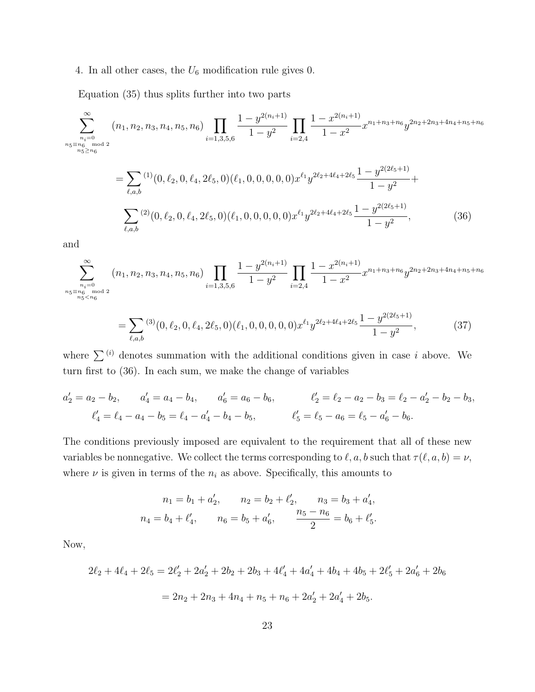#### 4. In all other cases, the  $U_6$  modification rule gives 0.

Equation (35) thus splits further into two parts

$$
\sum_{\substack{n_1=0 \ n_5 \equiv n_6 \mod 2}}^{\infty} (n_1, n_2, n_3, n_4, n_5, n_6) \prod_{i=1,3,5,6} \frac{1 - y^{2(n_i+1)}}{1 - y^2} \prod_{i=2,4} \frac{1 - x^{2(n_i+1)}}{1 - x^2} x^{n_1 + n_3 + n_6} y^{2n_2 + 2n_3 + 4n_4 + n_5 + n_6}
$$
\n
$$
= \sum_{\ell, a, b} (1) (0, \ell_2, 0, \ell_4, 2\ell_5, 0) (\ell_1, 0, 0, 0, 0, 0) x^{\ell_1} y^{2\ell_2 + 4\ell_4 + 2\ell_5} \frac{1 - y^{2(2\ell_5 + 1)}}{1 - y^2} + \sum_{\ell, a, b} (2) (0, \ell_2, 0, \ell_4, 2\ell_5, 0) (\ell_1, 0, 0, 0, 0, 0) x^{\ell_1} y^{2\ell_2 + 4\ell_4 + 2\ell_5} \frac{1 - y^{2(2\ell_5 + 1)}}{1 - y^2}, \tag{36}
$$

and

$$
\sum_{\substack{n_5 \equiv n_6 \mod 2}}^{\infty} (n_1, n_2, n_3, n_4, n_5, n_6) \prod_{i=1,3,5,6} \frac{1 - y^{2(n_i+1)}}{1 - y^2} \prod_{i=2,4} \frac{1 - x^{2(n_i+1)}}{1 - x^2} x^{n_1 + n_3 + n_6} y^{2n_2 + 2n_3 + 4n_4 + n_5 + n_6}
$$
  
= 
$$
\sum_{\ell, a, b}^{(3)} (0, \ell_2, 0, \ell_4, 2\ell_5, 0) (\ell_1, 0, 0, 0, 0, 0) x^{\ell_1} y^{2\ell_2 + 4\ell_4 + 2\ell_5} \frac{1 - y^{2(2\ell_5 + 1)}}{1 - y^2},
$$
(37)

where  $\sum_{i}^{(i)}$  denotes summation with the additional conditions given in case i above. We turn first to (36). In each sum, we make the change of variables

$$
a'_2 = a_2 - b_2, \qquad a'_4 = a_4 - b_4, \qquad a'_6 = a_6 - b_6, \qquad \ell'_2 = \ell_2 - a_2 - b_3 = \ell_2 - a'_2 - b_2 - b_3,
$$
  

$$
\ell'_4 = \ell_4 - a_4 - b_5 = \ell_4 - a'_4 - b_4 - b_5, \qquad \ell'_5 = \ell_5 - a_6 = \ell_5 - a'_6 - b_6.
$$

The conditions previously imposed are equivalent to the requirement that all of these new variables be nonnegative. We collect the terms corresponding to  $\ell, a, b$  such that  $\tau(\ell, a, b) = \nu$ , where  $\nu$  is given in terms of the  $n_i$  as above. Specifically, this amounts to

$$
n_1 = b_1 + a'_2, \qquad n_2 = b_2 + \ell'_2, \qquad n_3 = b_3 + a'_4,
$$
  

$$
n_4 = b_4 + \ell'_4, \qquad n_6 = b_5 + a'_6, \qquad \frac{n_5 - n_6}{2} = b_6 + \ell'_5.
$$

Now,

$$
2\ell_2 + 4\ell_4 + 2\ell_5 = 2\ell'_2 + 2a'_2 + 2b_2 + 2b_3 + 4\ell'_4 + 4a'_4 + 4b_4 + 4b_5 + 2\ell'_5 + 2a'_6 + 2b_6
$$
  
=  $2n_2 + 2n_3 + 4n_4 + n_5 + n_6 + 2a'_2 + 2a'_4 + 2b_5$ .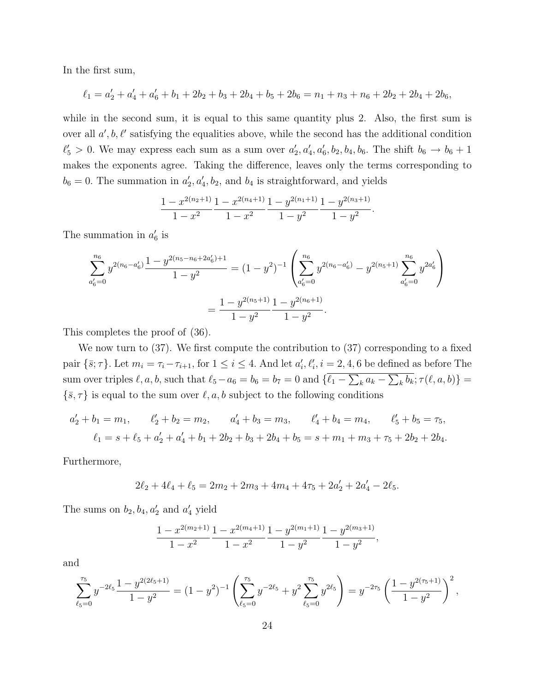In the first sum,

$$
\ell_1 = a_2' + a_4' + a_6' + b_1 + 2b_2 + b_3 + 2b_4 + b_5 + 2b_6 = n_1 + n_3 + n_6 + 2b_2 + 2b_4 + 2b_6,
$$

while in the second sum, it is equal to this same quantity plus 2. Also, the first sum is over all  $a', b, \ell'$  satisfying the equalities above, while the second has the additional condition  $\ell'_5 > 0$ . We may express each sum as a sum over  $a'_2, a'_4, a'_6, b_2, b_4, b_6$ . The shift  $b_6 \to b_6 + 1$ makes the exponents agree. Taking the difference, leaves only the terms corresponding to  $b_6 = 0$ . The summation in  $a'_2, a'_4, b_2$ , and  $b_4$  is straightforward, and yields

$$
\frac{1 - x^{2(n_2+1)}}{1 - x^2} \frac{1 - x^{2(n_4+1)}}{1 - x^2} \frac{1 - y^{2(n_1+1)}}{1 - y^2} \frac{1 - y^{2(n_3+1)}}{1 - y^2}.
$$

The summation in  $a'_6$  is

$$
\sum_{a'_6=0}^{n_6} y^{2(n_6-a'_6)} \frac{1-y^{2(n_5-n_6+2a'_6)+1}}{1-y^2} = (1-y^2)^{-1} \left( \sum_{a'_6=0}^{n_6} y^{2(n_6-a'_6)} - y^{2(n_5+1)} \sum_{a'_6=0}^{n_6} y^{2a'_6} \right)
$$

$$
= \frac{1-y^{2(n_5+1)}}{1-y^2} \frac{1-y^{2(n_6+1)}}{1-y^2}.
$$

This completes the proof of (36).

We now turn to (37). We first compute the contribution to (37) corresponding to a fixed pair  $\{\bar{s}; \tau\}$ . Let  $m_i = \tau_i - \tau_{i+1}$ , for  $1 \le i \le 4$ . And let  $a'_i, \ell'_i, i = 2, 4, 6$  be defined as before The sum over triples  $\ell, a, b$ , such that  $\ell_5 - a_6 = b_6 = b_7 = 0$  and  $\{\ell_1 - \sum_k a_k - \sum_k b_k; \tau(\ell, a, b)\} =$  $\{\bar{s}, \tau\}$  is equal to the sum over  $\ell, a, b$  subject to the following conditions

$$
a'_2 + b_1 = m_1, \qquad \ell'_2 + b_2 = m_2, \qquad a'_4 + b_3 = m_3, \qquad \ell'_4 + b_4 = m_4, \qquad \ell'_5 + b_5 = \tau_5,
$$
  

$$
\ell_1 = s + \ell_5 + a'_2 + a'_4 + b_1 + 2b_2 + b_3 + 2b_4 + b_5 = s + m_1 + m_3 + \tau_5 + 2b_2 + 2b_4.
$$

Furthermore,

$$
2\ell_2 + 4\ell_4 + \ell_5 = 2m_2 + 2m_3 + 4m_4 + 4\tau_5 + 2a'_2 + 2a'_4 - 2\ell_5.
$$

The sums on  $b_2, b_4, a'_2$  and  $a'_4$  yield

$$
\frac{1 - x^{2(m_2+1)}}{1 - x^2} \frac{1 - x^{2(m_4+1)}}{1 - x^2} \frac{1 - y^{2(m_1+1)}}{1 - y^2} \frac{1 - y^{2(m_3+1)}}{1 - y^2},
$$

and

$$
\sum_{\ell_5=0}^{\tau_5} y^{-2\ell_5} \frac{1 - y^{2(2\ell_5 + 1)}}{1 - y^2} = (1 - y^2)^{-1} \left( \sum_{\ell_5=0}^{\tau_5} y^{-2\ell_5} + y^2 \sum_{\ell_5=0}^{\tau_5} y^{2\ell_5} \right) = y^{-2\tau_5} \left( \frac{1 - y^{2(\tau_5 + 1)}}{1 - y^2} \right)^2,
$$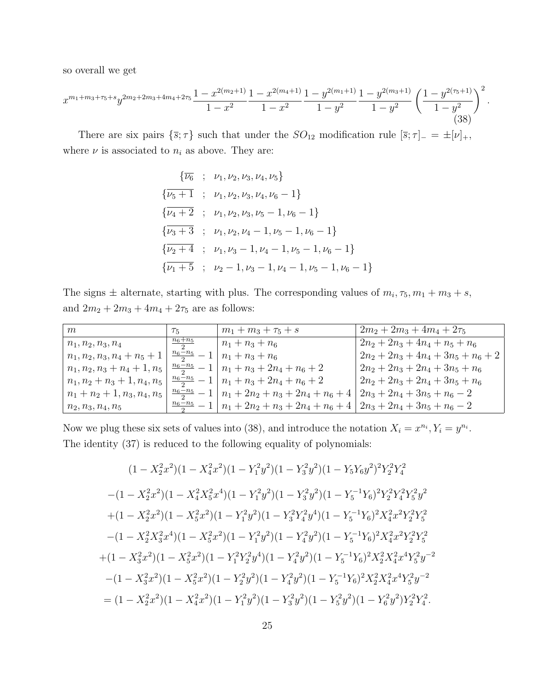so overall we get

$$
x^{m_1+m_3+\tau_5+s}y^{2m_2+2m_3+4m_4+2\tau_5}\frac{1-x^{2(m_2+1)}}{1-x^2}\frac{1-x^{2(m_4+1)}}{1-x^2}\frac{1-y^{2(m_1+1)}}{1-y^2}\frac{1-y^{2(m_3+1)}}{1-y^2}\left(\frac{1-y^{2(\tau_5+1)}}{1-y^2}\right)^2.
$$
\n(38)

There are six pairs  $\{\bar{s}; \tau\}$  such that under the  $SO_{12}$  modification rule  $[\bar{s}; \tau]_-=\pm[\nu]_+,$ where  $\nu$  is associated to  $n_i$  as above. They are:

$$
\{\overline{\nu_6} \; ; \; \nu_1, \nu_2, \nu_3, \nu_4, \nu_5\}
$$
\n
$$
\{\overline{\nu_5 + 1} \; ; \; \nu_1, \nu_2, \nu_3, \nu_4, \nu_6 - 1\}
$$
\n
$$
\{\overline{\nu_4 + 2} \; ; \; \nu_1, \nu_2, \nu_3, \nu_5 - 1, \nu_6 - 1\}
$$
\n
$$
\{\overline{\nu_3 + 3} \; ; \; \nu_1, \nu_2, \nu_4 - 1, \nu_5 - 1, \nu_6 - 1\}
$$
\n
$$
\{\overline{\nu_2 + 4} \; ; \; \nu_1, \nu_3 - 1, \nu_4 - 1, \nu_5 - 1, \nu_6 - 1\}
$$
\n
$$
\{\overline{\nu_1 + 5} \; ; \; \nu_2 - 1, \nu_3 - 1, \nu_4 - 1, \nu_5 - 1, \nu_6 - 1\}
$$

The signs  $\pm$  alternate, starting with plus. The corresponding values of  $m_i$ ,  $\tau_5$ ,  $m_1 + m_3 + s$ , and  $2m_2+2m_3+4m_4+2\tau_5$  are as follows:

| m                          | $\tau_{5}$                   | $m_1 + m_3 + \tau_5 + s$                                           | $2m_2 + 2m_3 + 4m_4 + 2\tau_5$        |
|----------------------------|------------------------------|--------------------------------------------------------------------|---------------------------------------|
| $n_1, n_2, n_3, n_4$       | $\frac{n_6+n_5}{n_6+n_5}$    | $n_1 + n_3 + n_6$                                                  | $2n_2+2n_3+4n_4+n_5+n_6$              |
| $n_1, n_2, n_3, n_4+n_5+1$ | $\frac{n_6-n_5}{2}$          | $n_1 + n_3 + n_6$                                                  | $2n_2 + 2n_3 + 4n_4 + 3n_5 + n_6 + 2$ |
| $n_1, n_2, n_3+n_4+1, n_5$ | $\frac{n_6-n_5}{2}$          | $n_1 + n_3 + 2n_4 + n_6 + 2$                                       | $2n_2 + 2n_3 + 2n_4 + 3n_5 + n_6$     |
| $n_1, n_2+n_3+1, n_4, n_5$ | $\frac{n_6-n_5}{2}-1$        | $n_1 + n_3 + 2n_4 + n_6 + 2$                                       | $2n_2 + 2n_3 + 2n_4 + 3n_5 + n_6$     |
| $n_1+n_2+1, n_3, n_4, n_5$ | $\frac{n_6-n_5}{2}$          | $\mid n_1 + 2n_2 + n_3 + 2n_4 + n_6 + 4 \mid$                      | $12n_3 + 2n_4 + 3n_5 + n_6 - 2$       |
| $n_2, n_3, n_4, n_5$       | $\frac{n_6-n_5}{\cdots} - 1$ | $n_1 + 2n_2 + n_3 + 2n_4 + n_6 + 4   2n_3 + 2n_4 + 3n_5 + n_6 - 2$ |                                       |

Now we plug these six sets of values into (38), and introduce the notation  $X_i = x^{n_i}, Y_i = y^{n_i}$ . The identity (37) is reduced to the following equality of polynomials:

$$
(1 - X_2^2 x^2)(1 - X_4^2 x^2)(1 - Y_1^2 y^2)(1 - Y_3^2 y^2)(1 - Y_5 Y_6 y^2)^2 Y_2^2 Y_4^2
$$
  
\n
$$
-(1 - X_2^2 x^2)(1 - X_4^2 X_5^2 x^4)(1 - Y_1^2 y^2)(1 - Y_3^2 y^2)(1 - Y_5^{-1} Y_6)^2 Y_2^2 Y_4^2 Y_5^2 y^2
$$
  
\n
$$
+(1 - X_2^2 x^2)(1 - X_5^2 x^2)(1 - Y_1^2 y^2)(1 - Y_3^2 Y_4^2 y^4)(1 - Y_5^{-1} Y_6)^2 X_4^2 x^2 Y_2^2 Y_5^2
$$
  
\n
$$
-(1 - X_2^2 X_3^2 x^4)(1 - X_5^2 x^2)(1 - Y_1^2 y^2)(1 - Y_4^2 y^2)(1 - Y_5^{-1} Y_6)^2 X_4^2 x^2 Y_2^2 Y_5^2
$$
  
\n
$$
+(1 - X_3^2 x^2)(1 - X_5^2 x^2)(1 - Y_1^2 Y_2^2 y^4)(1 - Y_4^2 y^2)(1 - Y_5^{-1} Y_6)^2 X_2^2 X_4^2 x^4 Y_5^2 y^{-2}
$$
  
\n
$$
-(1 - X_3^2 x^2)(1 - X_5^2 x^2)(1 - Y_2^2 y^2)(1 - Y_4^2 y^2)(1 - Y_5^{-1} Y_6)^2 X_2^2 X_4^2 x^4 Y_5^2 y^{-2}
$$
  
\n
$$
= (1 - X_2^2 x^2)(1 - X_4^2 x^2)(1 - Y_1^2 y^2)(1 - Y_3^2 y^2)(1 - Y_5^2 y^2)(1 - Y_6^2 y^2)Y_2^2 Y_4^2.
$$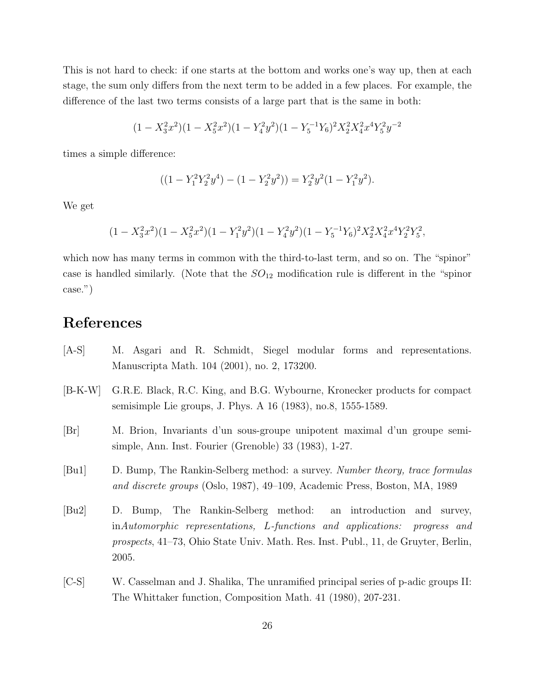This is not hard to check: if one starts at the bottom and works one's way up, then at each stage, the sum only differs from the next term to be added in a few places. For example, the difference of the last two terms consists of a large part that is the same in both:

$$
(1 - X_3^2 x^2)(1 - X_5^2 x^2)(1 - Y_4^2 y^2)(1 - Y_5^{-1} Y_6)^2 X_2^2 X_4^2 x^4 Y_5^2 y^{-2}
$$

times a simple difference:

$$
((1 - Y_1^2 Y_2^2 y^4) - (1 - Y_2^2 y^2)) = Y_2^2 y^2 (1 - Y_1^2 y^2).
$$

We get

$$
(1 - X_3^2 x^2)(1 - X_5^2 x^2)(1 - Y_1^2 y^2)(1 - Y_4^2 y^2)(1 - Y_5^{-1} Y_6)^2 X_2^2 X_4^2 x^4 Y_2^2 Y_5^2,
$$

which now has many terms in common with the third-to-last term, and so on. The "spinor" case is handled similarly. (Note that the  $SO_{12}$  modification rule is different in the "spinor" case.")

### References

- [A-S] M. Asgari and R. Schmidt, Siegel modular forms and representations. Manuscripta Math. 104 (2001), no. 2, 173200.
- [B-K-W] G.R.E. Black, R.C. King, and B.G. Wybourne, Kronecker products for compact semisimple Lie groups, J. Phys. A 16 (1983), no.8, 1555-1589.
- [Br] M. Brion, Invariants d'un sous-groupe unipotent maximal d'un groupe semisimple, Ann. Inst. Fourier (Grenoble) 33 (1983), 1-27.
- [Bu1] D. Bump, The Rankin-Selberg method: a survey. Number theory, trace formulas and discrete groups (Oslo, 1987), 49–109, Academic Press, Boston, MA, 1989
- [Bu2] D. Bump, The Rankin-Selberg method: an introduction and survey, inAutomorphic representations, L-functions and applications: progress and prospects, 41–73, Ohio State Univ. Math. Res. Inst. Publ., 11, de Gruyter, Berlin, 2005.
- [C-S] W. Casselman and J. Shalika, The unramified principal series of p-adic groups II: The Whittaker function, Composition Math. 41 (1980), 207-231.